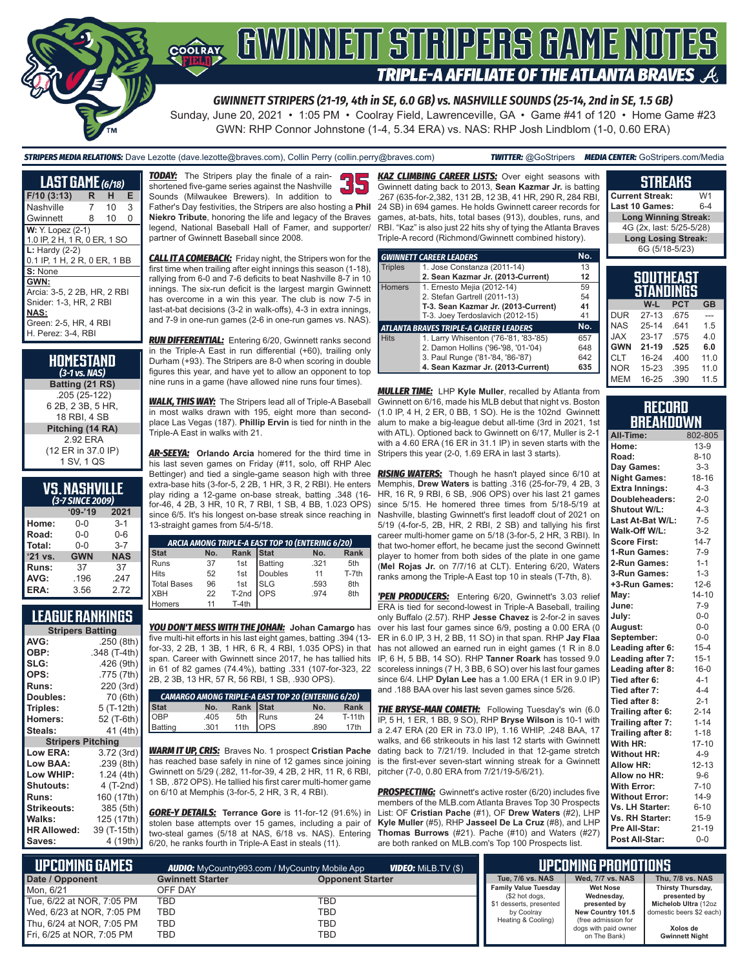

*GWINNETT STRIPERS (21-19, 4th in SE, 6.0 GB) vs. NASHVILLE SOUNDS (25-14, 2nd in SE, 1.5 GB)*

Sunday, June 20, 2021 • 1:05 PM • Coolray Field, Lawrenceville, GA • Game #41 of 120 • Home Game #23 GWN: RHP Connor Johnstone (1-4, 5.34 ERA) vs. NAS: RHP Josh Lindblom (1-0, 0.60 ERA)

*STRIPERS MEDIA RELATIONS:* Dave Lezotte (dave.lezotte@braves.com), Collin Perry (collin.perry@braves.com) *TWITTER:* @GoStripers *MEDIA CENTER:* GoStripers.com/Media

| <b>LAST GAME</b> (6/18)                                                                                                     |   |                 |   |
|-----------------------------------------------------------------------------------------------------------------------------|---|-----------------|---|
| F/10(3:13)                                                                                                                  | R | н               | Е |
| Nashville                                                                                                                   | 7 | 10 <sup>1</sup> | 3 |
| Gwinnett                                                                                                                    | 8 | 10 <sup>°</sup> | 0 |
| W: Y. Lopez (2-1)<br>1.0 IP, 2 H, 1 R, 0 ER, 1 SO                                                                           |   |                 |   |
| $L:$ Hardy $(2-2)$<br>0.1 IP, 1 H, 2 R, 0 ER, 1 BB                                                                          |   |                 |   |
| S: None                                                                                                                     |   |                 |   |
| GWN:<br>Arcia: 3-5, 2 2B, HR, 2 RBI<br>Snider: 1-3, HR, 2 RBI<br><b>NAS:</b><br>Green: 2-5, HR, 4 RBI<br>H. Perez: 3-4. RBI |   |                 |   |

| HOMESTAND<br>$(3-1)$ vs. NAS)                      |
|----------------------------------------------------|
| Batting (21 RS)                                    |
| .205 (25-122)<br>6 2B, 2 3B, 5 HR.<br>18 RBI. 4 SB |
| Pitching (14 RA)                                   |
| 2.92 ERA<br>(12 ER in 37.0 IP)<br>1 SV, 1 QS       |

| <b>VS. NASHVILLE</b> |  |
|----------------------|--|
| (3-7 SINCE 2009)     |  |

|         | $09 - 19$  | 2021       |
|---------|------------|------------|
| Home:   | $0 - 0$    | $3-1$      |
| Road:   | 0-0        | $0 - 6$    |
| Total:  | $0 - 0$    | $3 - 7$    |
| '21 vs. | <b>GWN</b> | <b>NAS</b> |
| Runs:   | 37         | 37         |
| AVG:    | .196       | .247       |
| ERA:    | 3.56       | 272        |

## **LEAGUE RANKINGS**

| <b>Stripers Batting</b>  |              |  |  |  |
|--------------------------|--------------|--|--|--|
| AVG:                     | .250 (8th)   |  |  |  |
| OBP:                     | .348 (T-4th) |  |  |  |
| SLG:                     | .426 (9th)   |  |  |  |
| OPS:                     | .775 (7th)   |  |  |  |
| <b>Runs:</b>             | 220 (3rd)    |  |  |  |
| Doubles:                 | 70 (6th)     |  |  |  |
| Triples:                 | 5 (T-12th)   |  |  |  |
| Homers:                  | 52 (T-6th)   |  |  |  |
| Steals:                  | 41 (4th)     |  |  |  |
| <b>Stripers Pitching</b> |              |  |  |  |
| <b>Low ERA:</b>          | 3.72 (3rd)   |  |  |  |
| Low BAA:                 | .239 (8th)   |  |  |  |
| Low WHIP:                | 1.24 (4th)   |  |  |  |
| <b>Shutouts:</b>         | 4 (T-2nd)    |  |  |  |
| <b>Runs:</b>             | 160 (17th)   |  |  |  |
| Strikeouts:              | 385 (5th)    |  |  |  |
| Walks:                   | 125 (17th)   |  |  |  |
| <b>HR Allowed:</b>       | 39 (T-15th)  |  |  |  |
| Saves:                   | 4 (19th)     |  |  |  |

*TODAY:* The Stripers play the finale of a rainshortened five-game series against the Nashville Sounds (Milwaukee Brewers). In addition to Father's Day festivities, the Stripers are also hosting a **Phil Niekro Tribute**, honoring the life and legacy of the Braves legend, National Baseball Hall of Famer, and supporter/ partner of Gwinnett Baseball since 2008.

*CALL IT A COMEBACK:* Friday night, the Stripers won for the first time when trailing after eight innings this season (1-18), rallying from 6-0 and 7-6 deficits to beat Nashville 8-7 in 10 innings. The six-run deficit is the largest margin Gwinnett has overcome in a win this year. The club is now 7-5 in last-at-bat decisions (3-2 in walk-offs), 4-3 in extra innings, and 7-9 in one-run games (2-6 in one-run games vs. NAS).

*RUN DIFFERENTIAL:* Entering 6/20, Gwinnett ranks second in the Triple-A East in run differential (+60), trailing only Durham (+93). The Stripers are 8-0 when scoring in double figures this year, and have yet to allow an opponent to top nine runs in a game (have allowed nine runs four times).

*WALK, THIS WAY:* The Stripers lead all of Triple-A Baseball in most walks drawn with 195, eight more than secondplace Las Vegas (187). **Phillip Ervin** is tied for ninth in the Triple-A East in walks with 21.

*AR-SEEYA:* **Orlando Arcia** homered for the third time in his last seven games on Friday (#11, solo, off RHP Alec Bettinger) and tied a single-game season high with three extra-base hits (3-for-5, 2 2B, 1 HR, 3 R, 2 RBI). He enters play riding a 12-game on-base streak, batting .348 (16 for-46, 4 2B, 3 HR, 10 R, 7 RBI, 1 SB, 4 BB, 1.023 OPS) since 6/5. It's his longest on-base streak since reaching in 13-straight games from 5/4-5/18.

|             | ARCIA AMONG TRIPLE-A EAST TOP 10 (ENTERING 6/20) |           |              |      |       |
|-------------|--------------------------------------------------|-----------|--------------|------|-------|
| <b>Stat</b> | No.                                              | Rank Stat |              | No.  | Rank  |
| Runs        | 37                                               | 1st       | Batting      | .321 | 5th   |
| <b>Hits</b> | 52                                               | 1st       | Doubles      | 11   | T-7th |
| Total Bases | 96                                               | 1st       | IsLG         | .593 | 8th   |
| <b>XBH</b>  | 22                                               | T-2nd     | <b>l</b> ops | .974 | 8th   |
| omers       | 11                                               | $T-4th$   |              |      |       |

*YOU DON'T MESS WITH THE JOHAN:* **Johan Camargo** has five multi-hit efforts in his last eight games, batting .394 (13 for-33, 2 2B, 1 3B, 1 HR, 6 R, 4 RBI, 1.035 OPS) in that span. Career with Gwinnett since 2017, he has tallied hits in 61 of 82 games (74.4%), batting .331 (107-for-323, 22 2B, 2 3B, 13 HR, 57 R, 56 RBI, 1 SB, .930 OPS).

| <b>CAMARGO AMONG TRIPLE-A EAST TOP 20 (ENTERING 6/20)</b> |      |                                   |  |      |               |
|-----------------------------------------------------------|------|-----------------------------------|--|------|---------------|
|                                                           | No.  |                                   |  | No.  | Rank          |
| Stat<br>OBP<br>Batting                                    | .405 |                                   |  | 24   | <b>T-11th</b> |
|                                                           | .301 | Rank Stat<br>5th Runs<br>11th OPS |  | .890 | 17th          |

*WARM IT UP, CRIS:* Braves No. 1 prospect **Cristian Pache** has reached base safely in nine of 12 games since joining Gwinnett on 5/29 (.282, 11-for-39, 4 2B, 2 HR, 11 R, 6 RBI, pitcher (7-0, 0.80 ERA from 7/21/19-5/6/21). 1 SB, .872 OPS). He tallied his first carer multi-homer game on 6/10 at Memphis (3-for-5, 2 HR, 3 R, 4 RBI).

*GORE-Y DETAILS:* **Terrance Gore** is 11-for-12 (91.6%) in stolen base attempts over 15 games, including a pair of two-steal games (5/18 at NAS, 6/18 vs. NAS). Entering 6/20, he ranks fourth in Triple-A East in steals (11).

**KAZ CLIMBING CAREER LISTS:** Over eight seasons with Gwinnett dating back to 2013, **Sean Kazmar Jr.** is batting .267 (635-for-2,382, 131 2B, 12 3B, 41 HR, 290 R, 284 RBI, 24 SB) in 694 games. He holds Gwinnett career records for games, at-bats, hits, total bases (913), doubles, runs, and RBI. "Kaz" is also just 22 hits shy of tying the Atlanta Braves Triple-A record (Richmond/Gwinnett combined history).

|                | <b>GWINNETT CAREER LEADERS</b>                | No. |
|----------------|-----------------------------------------------|-----|
| <b>Triples</b> | 1. Jose Constanza (2011-14)                   | 13  |
|                | 2. Sean Kazmar Jr. (2013-Current)             | 12  |
| Homers         | 1. Ernesto Mejia (2012-14)                    | 59  |
|                | 2. Stefan Gartrell (2011-13)                  | 54  |
|                | T-3. Sean Kazmar Jr. (2013-Current)           | 41  |
|                | T-3. Joey Terdoslavich (2012-15)              | 41  |
|                | <b>ATLANTA BRAVES TRIPLE-A CAREER LEADERS</b> | No. |
| <b>Hits</b>    | 1. Larry Whisenton ('76-'81, '83-'85)         | 657 |
|                | 2. Damon Hollins ('96-'98, '01-'04)           | 648 |
|                | 3. Paul Runge ('81-'84, '86-'87)              | 642 |
|                | 4. Sean Kazmar Jr. (2013-Current)             | 635 |

*MULLER TIME:* LHP **Kyle Muller**, recalled by Atlanta from Gwinnett on 6/16, made his MLB debut that night vs. Boston (1.0 IP, 4 H, 2 ER, 0 BB, 1 SO). He is the 102nd Gwinnett alum to make a big-league debut all-time (3rd in 2021, 1st with ATL). Optioned back to Gwinnett on 6/17, Muller is 2-1 with a 4.60 ERA (16 ER in 31.1 IP) in seven starts with the Stripers this year (2-0, 1.69 ERA in last 3 starts).

*RISING WATERS:* Though he hasn't played since 6/10 at Memphis, **Drew Waters** is batting .316 (25-for-79, 4 2B, 3 HR, 16 R, 9 RBI, 6 SB, .906 OPS) over his last 21 games since 5/15. He homered three times from 5/18-5/19 at Nashville, blasting Gwinnett's first leadoff clout of 2021 on 5/19 (4-for-5, 2B, HR, 2 RBI, 2 SB) and tallying his first career multi-homer game on 5/18 (3-for-5, 2 HR, 3 RBI). In that two-homer effort, he became just the second Gwinnett player to homer from both sides of the plate in one game (**Mel Rojas Jr.** on 7/7/16 at CLT). Entering 6/20, Waters ranks among the Triple-A East top 10 in steals (T-7th, 8).

**'PEN PRODUCERS:** Entering 6/20, Gwinnett's 3.03 relief ERA is tied for second-lowest in Triple-A Baseball, trailing only Buffalo (2.57). RHP **Jesse Chavez** is 2-for-2 in saves over his last four games since 6/9, posting a 0.00 ERA (0 ER in 6.0 IP, 3 H, 2 BB, 11 SO) in that span. RHP **Jay Flaa** has not allowed an earned run in eight games (1 R in 8.0) IP, 6 H, 5 BB, 14 SO). RHP **Tanner Roark** has tossed 9.0 scoreless innings (7 H, 3 BB, 6 SO) over his last four games since 6/4. LHP **Dylan Lee** has a 1.00 ERA (1 ER in 9.0 IP) and .188 BAA over his last seven games since 5/26.

**THE BRYSE-MAN COMETH:** Following Tuesday's win (6.0) IP, 5 H, 1 ER, 1 BB, 9 SO), RHP **Bryse Wilson** is 10-1 with a 2.47 ERA (20 ER in 73.0 IP), 1.16 WHIP, .248 BAA, 17 walks, and 66 strikeouts in his last 12 starts with Gwinnett dating back to 7/21/19. Included in that 12-game stretch is the first-ever seven-start winning streak for a Gwinnett

**PROSPECTING:** Gwinnett's active roster (6/20) includes five members of the MLB.com Atlanta Braves Top 30 Prospects List: OF **Cristian Pache** (#1), OF **Drew Waters** (#2), LHP **Kyle Muller** (#5), RHP **Jasseel De La Cruz** (#8), and LHP **Thomas Burrows** (#21). Pache (#10) and Waters (#27) are both ranked on MLB.com's Top 100 Prospects list.

|     | 4G (2x, last: 5/25-5/28)             |            |           |
|-----|--------------------------------------|------------|-----------|
|     | <b>Long Losing Streak:</b>           |            |           |
|     | 6G (5/18-5/23)                       |            |           |
|     |                                      |            |           |
|     | <b>SOUTHEAST</b><br><b>STANDINGS</b> |            |           |
|     | W-L                                  | <b>PCT</b> | <b>GB</b> |
| )UR | $27-13$                              | .675       |           |
|     |                                      |            |           |

**STREAKS Current Streak:** W1<br>Last 10 Games: 6-4 **Last 10 Games: Long Winning Streak:**

| <b>DUR</b> | 27-13     | .675 |      |
|------------|-----------|------|------|
| <b>NAS</b> | $25 - 14$ | .641 | 1.5  |
| <b>JAX</b> | $23 - 17$ | .575 | 4.0  |
| <b>GWN</b> | $21 - 19$ | .525 | 6.0  |
| <b>CLT</b> | 16-24     | .400 | 11.0 |
| <b>NOR</b> | $15 - 23$ | .395 | 11.0 |
| MEM        | 16-25     | .390 | 11.5 |

#### **RECORD BREAKDOWN**

| All-Time:             | 802-805   |
|-----------------------|-----------|
| Home:                 | $13-9$    |
| Road:                 | $8 - 10$  |
| Day Games:            | $3 - 3$   |
| <b>Night Games:</b>   | 18-16     |
| <b>Extra Innings:</b> | $4 - 3$   |
| Doubleheaders:        | $2 - 0$   |
| Shutout W/L:          | $4 - 3$   |
| Last At-Bat W/L:      | $7 - 5$   |
| Walk-Off W/L:         | $3-2$     |
| <b>Score First:</b>   | $14 - 7$  |
| 1-Run Games:          | $7-9$     |
| 2-Run Games:          | $1 - 1$   |
| 3-Run Games:          | $1 - 3$   |
| +3-Run Games:         | $12-6$    |
| May:                  | $14 - 10$ |
| June:                 | $7-9$     |
| July:                 | $0 - 0$   |
| August:               | $0 - 0$   |
| September:            | $0 - 0$   |
| Leading after 6:      | $15 - 4$  |
| Leading after 7:      | $15 - 1$  |
| Leading after 8:      | $16 - 0$  |
| Tied after 6:         | $4 - 1$   |
| Tied after 7:         | $4 - 4$   |
| Tied after 8:         | $2 - 1$   |
| Trailing after 6:     | $2 - 14$  |
| Trailing after 7:     | $1 - 14$  |
| Trailing after 8:     | $1 - 18$  |
| With HR:              | $17 - 10$ |
| <b>Without HR:</b>    | $4 - 9$   |
| <b>Allow HR:</b>      | $12 - 13$ |
| Allow no HR:          | $9 - 6$   |
| <b>With Error:</b>    | $7 - 10$  |
| <b>Without Error:</b> | $14-9$    |
| Vs. LH Starter:       | $6 - 10$  |
| Vs. RH Starter:       | $15-9$    |
| Pre All-Star:         | $21 - 19$ |
| Post All-Star:        | $0 - 0$   |

| NUPCOMING GAMES           | <b>VIDEO:</b> Milb.TV (\$)<br><b>AUDIO:</b> MyCountry993.com / MyCountry Mobile App |                         |                                           | <b>TIPCOMING PROMOTIONS</b>          |                                      |  |
|---------------------------|-------------------------------------------------------------------------------------|-------------------------|-------------------------------------------|--------------------------------------|--------------------------------------|--|
| Date / Opponent           | <b>Gwinnett Starter</b>                                                             | <b>Opponent Starter</b> | Tue, 7/6 vs. NAS                          | Wed. 7/7 vs. NAS                     | Thu, 7/8 vs. NAS                     |  |
| Mon. 6/21                 | OFF DAY                                                                             |                         | <b>Family Value Tuesday</b>               | <b>Wet Nose</b>                      | Thirsty Thursday,                    |  |
| Tue, 6/22 at NOR, 7:05 PM | TBD                                                                                 | TBD                     | (\$2 hot dogs,<br>\$1 desserts, presented | Wednesday,<br>presented by           | presented by<br>Michelob Ultra (12oz |  |
| Wed, 6/23 at NOR, 7:05 PM | TBD                                                                                 | TBD                     | by Coolrav                                | New Country 101.5                    | domestic beers \$2 each)             |  |
| Thu. 6/24 at NOR. 7:05 PM | TBD                                                                                 | TBD                     | Heating & Cooling)                        | (free admission for                  |                                      |  |
| Fri, 6/25 at NOR, 7:05 PM | TBD                                                                                 | TBD                     |                                           | dogs with paid owner<br>on The Bank) | Xolos de<br><b>Gwinnett Night</b>    |  |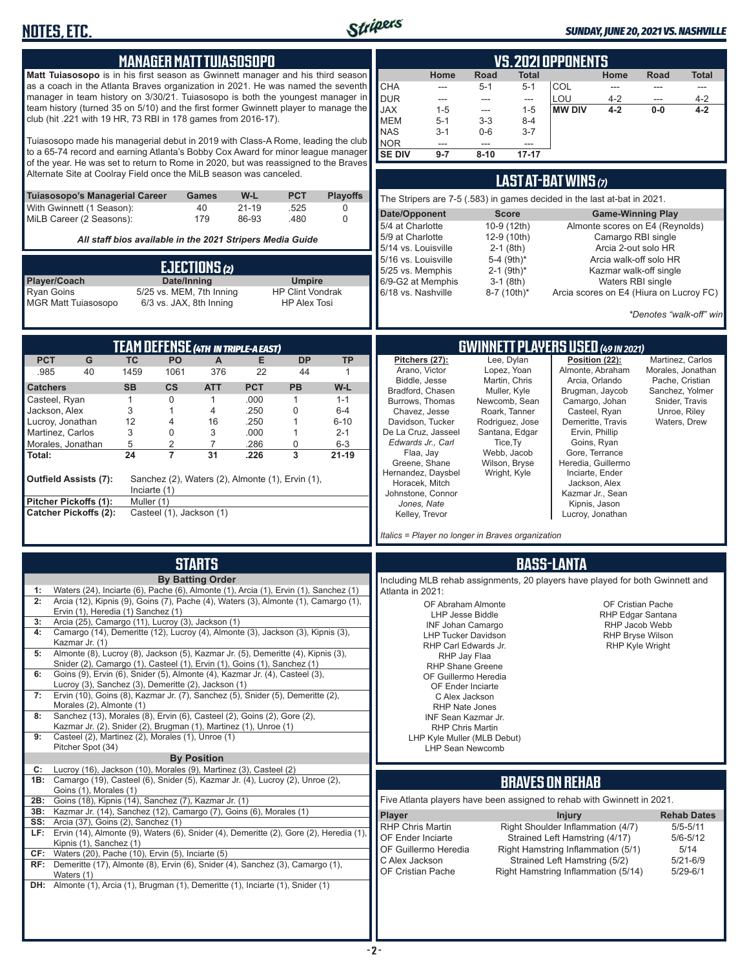

#### *SUNDAY, JUNE 20, 2021 VS. NASHVILLE*

| MANAGER MATT TUIASOSOPO<br>Matt Tuiasosopo is in his first season as Gwinnett manager and his third season<br>as a coach in the Atlanta Braves organization in 2021. He was named the seventh<br>manager in team history on 3/30/21. Tuiasosopo is both the youngest manager in<br>team history (turned 35 on 5/10) and the first former Gwinnett player to manage the<br>club (hit .221 with 19 HR, 73 RBI in 178 games from 2016-17).<br>Tuiasosopo made his managerial debut in 2019 with Class-A Rome, leading the club<br>to a 65-74 record and earning Atlanta's Bobby Cox Award for minor league manager<br>of the year. He was set to return to Rome in 2020, but was reassigned to the Braves<br>Alternate Site at Coolray Field once the MiLB season was canceled.<br><b>PCT</b><br><b>Playoffs</b><br>Tuiasosopo's Managerial Career<br>W-L<br>Games<br>40<br>With Gwinnett (1 Season):<br>$21 - 19$<br>.525<br>0<br>MiLB Career (2 Seasons):<br>179<br>86-93<br>.480<br>$\Omega$<br>All staff bios available in the 2021 Stripers Media Guide<br>EJECTIONS(2)<br>Player/Coach<br>Date/Inning<br><b>Umpire</b><br><b>Ryan Goins</b><br>5/25 vs. MEM, 7th Inning<br><b>HP Clint Vondrak</b><br><b>MGR Matt Tuiasosopo</b><br>6/3 vs. JAX, 8th Inning<br><b>HP Alex Tosi</b> | <u>VS. 2021 OPPONENTS</u><br>Home<br>Road<br><b>Total</b><br>Home<br>Road<br><b>Total</b><br><b>CHA</b><br>COL<br>$5 - 1$<br>$5 - 1$<br>$\sim$ $\sim$<br>$\frac{1}{2}$<br>$\overline{a}$<br>---<br><b>DUR</b><br>LOU<br>$4 - 2$<br>$4 - 2$<br>$\sim$<br>$\hspace{0.05cm} \ldots$<br>---<br>$\qquad \qquad -\qquad$<br><b>JAX</b><br><b>MW DIV</b><br>$4 - 2$<br>$1 - 5$<br>$4 - 2$<br>$0-0$<br>$1 - 5$<br>$\sim$<br><b>MEM</b><br>$5 - 1$<br>$3 - 3$<br>$8 - 4$<br><b>NAS</b><br>$3 - 1$<br>$0-6$<br>$3 - 7$<br>NOR<br>$---$<br>$---$<br>---<br><b>SE DIV</b><br>$17 - 17$<br>$9 - 7$<br>$8 - 10$<br><b>LAST AT-BAT WINS <math>(7)</math></b><br>The Stripers are 7-5 (.583) in games decided in the last at-bat in 2021.<br>Date/Opponent<br><b>Score</b><br><b>Game-Winning Play</b><br>5/4 at Charlotte<br>10-9 (12th)<br>Almonte scores on E4 (Reynolds)<br>5/9 at Charlotte<br>Camargo RBI single<br>12-9 (10th)<br>5/14 vs. Louisville<br>$2-1$ (8th)<br>Arcia 2-out solo HR<br>5/16 vs. Louisville<br>Arcia walk-off solo HR<br>5-4 (9th)*<br>$2-1$ (9th) <sup>*</sup><br>5/25 vs. Memphis<br>Kazmar walk-off single<br>6/9-G2 at Memphis<br>$3-1$ (8th)<br>Waters RBI single<br>6/18 vs. Nashville<br>Arcia scores on E4 (Hiura on Lucroy FC)<br>$8-7$ (10th) <sup>*</sup><br>*Denotes "walk-off" win |
|---------------------------------------------------------------------------------------------------------------------------------------------------------------------------------------------------------------------------------------------------------------------------------------------------------------------------------------------------------------------------------------------------------------------------------------------------------------------------------------------------------------------------------------------------------------------------------------------------------------------------------------------------------------------------------------------------------------------------------------------------------------------------------------------------------------------------------------------------------------------------------------------------------------------------------------------------------------------------------------------------------------------------------------------------------------------------------------------------------------------------------------------------------------------------------------------------------------------------------------------------------------------------------------|---------------------------------------------------------------------------------------------------------------------------------------------------------------------------------------------------------------------------------------------------------------------------------------------------------------------------------------------------------------------------------------------------------------------------------------------------------------------------------------------------------------------------------------------------------------------------------------------------------------------------------------------------------------------------------------------------------------------------------------------------------------------------------------------------------------------------------------------------------------------------------------------------------------------------------------------------------------------------------------------------------------------------------------------------------------------------------------------------------------------------------------------------------------------------------------------------------------------------------------------------------------------------------------------------------------|
| TEAM DEFENSE (4TH IN TRIPLE-A EAST)<br><b>PCT</b><br>G<br>E<br><b>TC</b><br><b>PO</b><br>$\mathsf{A}$<br><b>DP</b><br><b>TP</b><br>.985<br>40<br>1459<br>1061<br>376<br>22<br>44<br>$\mathbf{1}$<br><b>PCT</b><br><b>SB</b><br><b>CS</b><br><b>PB</b><br>W-L<br><b>Catchers</b><br><b>ATT</b><br>$\mathbf 0$<br>.000<br>Casteel, Ryan<br>$\mathbf{1}$<br>$\mathbf{1}$<br>$\mathbf{1}$<br>$1 - 1$<br>Jackson, Alex<br>3<br>.250<br>$\mathbf 0$<br>$\mathbf{1}$<br>4<br>$6 - 4$<br>12<br>Lucroy, Jonathan<br>.250<br>$6 - 10$<br>4<br>16<br>$\mathbf{1}$<br>Martinez, Carlos<br>3<br>0<br>3<br>.000<br>$\mathbf{1}$<br>$2 - 1$<br>5<br>2<br>7<br>.286<br>0<br>$6 - 3$<br>Morales, Jonathan<br>$\overline{3}$<br>24<br>$\overline{7}$<br>31<br>$21 - 19$<br>Total:<br>.226<br><b>Outfield Assists (7):</b><br>Sanchez (2), Waters (2), Almonte (1), Ervin (1),<br>Inciarte $(1)$<br>Pitcher Pickoffs (1):<br>Muller (1)                                                                                                                                                                                                                                                                                                                                                                  | GWINNETT PLAYERS USED (49 IN 2021)<br>Position (22):<br>Pitchers (27):<br>Lee. Dvlan<br>Martinez, Carlos<br>Arano, Victor<br>Lopez, Yoan<br>Almonte, Abraham<br>Morales, Jonathan<br>Biddle, Jesse<br>Martin, Chris<br>Arcia, Orlando<br>Pache, Cristian<br>Bradford, Chasen<br>Muller, Kyle<br>Brugman, Jaycob<br>Sanchez, Yolmer<br>Snider, Travis<br>Burrows, Thomas<br>Newcomb, Sean<br>Camargo, Johan<br>Chavez, Jesse<br>Casteel, Ryan<br>Unroe, Riley<br>Roark, Tanner<br>Davidson, Tucker<br>Demeritte, Travis<br>Waters, Drew<br>Rodriguez, Jose<br>De La Cruz, Jasseel<br>Santana, Edgar<br>Ervin, Phillip<br>Edwards Jr., Carl<br>Tice, Ty<br>Goins, Ryan<br>Webb, Jacob<br>Gore, Terrance<br>Flaa, Jay<br>Wilson, Bryse<br>Greene, Shane<br>Heredia, Guillermo<br>Hernandez, Daysbel<br>Wright, Kyle<br>Inciarte, Ender<br>Horacek, Mitch<br>Jackson, Alex<br>Johnstone, Connor<br>Kazmar Jr., Sean<br>Jones, Nate<br>Kipnis, Jason                                                                                                                                                                                                                                                                                                                                                               |
| <b>Catcher Pickoffs (2):</b><br>Casteel (1), Jackson (1)<br><b>STARTS</b><br><b>By Batting Order</b><br>Waters (24), Inciarte (6), Pache (6), Almonte (1), Arcia (1), Ervin (1), Sanchez (1)<br>1:<br>Arcia (12), Kipnis (9), Goins (7), Pache (4), Waters (3), Almonte (1), Camargo (1),<br>2:<br>Ervin (1), Heredia (1) Sanchez (1)<br>Arcia (25), Camargo (11), Lucroy (3), Jackson (1)<br>3:<br>Camargo (14), Demeritte (12), Lucroy (4), Almonte (3), Jackson (3), Kipnis (3),<br>4:<br>Kazmar Jr. (1)<br>Almonte (8), Lucroy (8), Jackson (5), Kazmar Jr. (5), Demeritte (4), Kipnis (3),<br>5:<br>Snider (2), Camargo (1), Casteel (1), Ervin (1), Goins (1), Sanchez (1)<br>Goins (9), Ervin (6), Snider (5), Almonte (4), Kazmar Jr. (4), Casteel (3),<br>6:<br>Lucroy (3), Sanchez (3), Demeritte (2), Jackson (1)<br>Ervin (10), Goins (8), Kazmar Jr. (7), Sanchez (5), Snider (5), Demeritte (2),<br>7:<br>Morales (2), Almonte (1)<br>Sanchez (13), Morales (8), Ervin (6), Casteel (2), Goins (2), Gore (2),<br>8:<br>Kazmar Jr. (2), Snider (2), Brugman (1), Martinez (1), Unroe (1)<br>Casteel (2), Martinez (2), Morales (1), Unroe (1)<br>9:<br>Pitcher Spot (34)                                                                                                 | Kelley, Trevor<br>Lucroy, Jonathan<br>Italics = Player no longer in Braves organization<br><b>BASS-LANTA</b><br>Including MLB rehab assignments, 20 players have played for both Gwinnett and<br>Atlanta in 2021:<br>OF Abraham Almonte<br>OF Cristian Pache<br><b>LHP Jesse Biddle</b><br>RHP Edgar Santana<br>RHP Jacob Webb<br><b>INF Johan Camargo</b><br><b>LHP Tucker Davidson</b><br><b>RHP Bryse Wilson</b><br>RHP Carl Edwards Jr.<br><b>RHP Kyle Wright</b><br>RHP Jay Flaa<br>RHP Shane Greene<br>OF Guillermo Heredia<br>OF Ender Inciarte<br>C Alex Jackson<br><b>RHP Nate Jones</b><br><b>INF Sean Kazmar Jr.</b><br><b>RHP Chris Martin</b><br>LHP Kyle Muller (MLB Debut)<br><b>LHP Sean Newcomb</b>                                                                                                                                                                                                                                                                                                                                                                                                                                                                                                                                                                                          |
| <b>By Position</b><br>Lucroy (16), Jackson (10), Morales (9), Martinez (3), Casteel (2)<br>C:<br>1B: Camargo (19), Casteel (6), Snider (5), Kazmar Jr. (4), Lucroy (2), Unroe (2),<br>Goins (1), Morales (1)<br>Goins (18), Kipnis (14), Sanchez (7), Kazmar Jr. (1)<br>2B:<br>Kazmar Jr. (14), Sanchez (12), Camargo (7), Goins (6), Morales (1)<br>3B:<br>Arcia (37), Goins (2), Sanchez (1)<br>SS:<br>LF: Ervin (14), Almonte (9), Waters (6), Snider (4), Demeritte (2), Gore (2), Heredia (1),<br>Kipnis (1), Sanchez (1)<br>Waters (20), Pache (10), Ervin (5), Inciarte (5)<br>CF:<br>RF: Demeritte (17), Almonte (8), Ervin (6), Snider (4), Sanchez (3), Camargo (1),<br>Waters (1)<br><b>DH:</b> Almonte (1), Arcia (1), Brugman (1), Demeritte (1), Inciarte (1), Snider (1)                                                                                                                                                                                                                                                                                                                                                                                                                                                                                               | <b>BRAVES ON REHAB</b><br>Five Atlanta players have been assigned to rehab with Gwinnett in 2021.<br><b>Player</b><br><b>Injury</b><br><b>Rehab Dates</b><br>RHP Chris Martin<br>Right Shoulder Inflammation (4/7)<br>$5/5 - 5/11$<br>OF Ender Inciarte<br>Strained Left Hamstring (4/17)<br>$5/6 - 5/12$<br>OF Guillermo Heredia<br>Right Hamstring Inflammation (5/1)<br>5/14<br>C Alex Jackson<br>Strained Left Hamstring (5/2)<br>$5/21 - 6/9$<br>OF Cristian Pache<br>Right Hamstring Inflammation (5/14)<br>$5/29 - 6/1$                                                                                                                                                                                                                                                                                                                                                                                                                                                                                                                                                                                                                                                                                                                                                                                |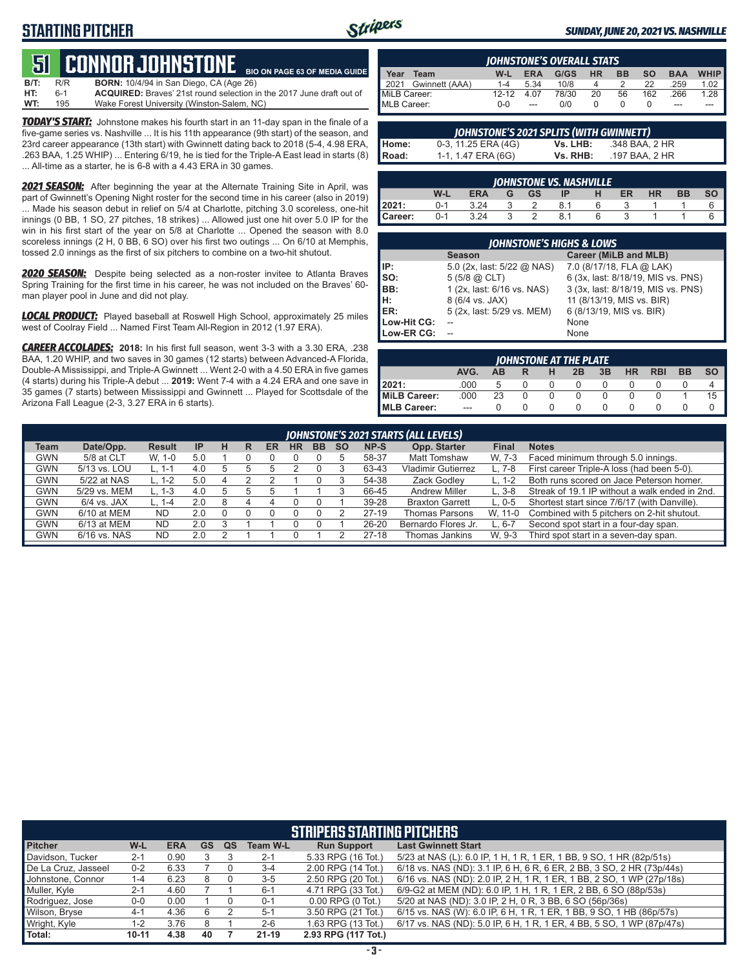# **STARTING PITCHER**



#### *SUNDAY, JUNE 20, 2021 VS. NASHVILLE*

#### **51****CONNOR JOHNSTONE BIO ON PAGE 63 OF MEDIA GUIDE**

**B/T:** R/R **BORN:** 10/4/94 in San Diego, CA (Age 26)<br>**HT:** 6-1 **ACQUIRED:** Braves' 21st round selection i **HT:** 6-1 **ACQUIRED:** Braves' 21st round selection in the 2017 June draft out of **WT:** 195 Wake Forest University (Winston-Salem, NC)

*TODAY'S START:* Johnstone makes his fourth start in an 11-day span in the finale of a five-game series vs. Nashville ... It is his 11th appearance (9th start) of the season, and 23rd career appearance (13th start) with Gwinnett dating back to 2018 (5-4, 4.98 ERA, .263 BAA, 1.25 WHIP) ... Entering 6/19, he is tied for the Triple-A East lead in starts (8) ... All-time as a starter, he is 6-8 with a 4.43 ERA in 30 games.

*2021 SEASON:* After beginning the year at the Alternate Training Site in April, was part of Gwinnett's Opening Night roster for the second time in his career (also in 2019) ... Made his season debut in relief on 5/4 at Charlotte, pitching 3.0 scoreless, one-hit innings (0 BB, 1 SO, 27 pitches, 18 strikes) ... Allowed just one hit over 5.0 IP for the win in his first start of the year on 5/8 at Charlotte ... Opened the season with 8.0 scoreless innings (2 H, 0 BB, 6 SO) over his first two outings ... On 6/10 at Memphis, tossed 2.0 innings as the first of six pitchers to combine on a two-hit shutout.

*2020 SEASON:* Despite being selected as a non-roster invitee to Atlanta Braves Spring Training for the first time in his career, he was not included on the Braves' 60 man player pool in June and did not play.

*LOCAL PRODUCT:* Played baseball at Roswell High School, approximately 25 miles west of Coolray Field ... Named First Team All-Region in 2012 (1.97 ERA).

*CAREER ACCOLADES:* **2018:** In his first full season, went 3-3 with a 3.30 ERA, .238 BAA, 1.20 WHIP, and two saves in 30 games (12 starts) between Advanced-A Florida, Double-A Mississippi, and Triple-A Gwinnett ... Went 2-0 with a 4.50 ERA in five games (4 starts) during his Triple-A debut ... **2019:** Went 7-4 with a 4.24 ERA and one save in 35 games (7 starts) between Mississippi and Gwinnett ... Played for Scottsdale of the Arizona Fall League (2-3, 3.27 ERA in 6 starts).

| JOHNSTONE'S OVERALL STATS |           |            |       |     |           |           |            |             |  |
|---------------------------|-----------|------------|-------|-----|-----------|-----------|------------|-------------|--|
| Year<br>Team              | W-L       | <b>ERA</b> | G/GS  | HR. | <b>BB</b> | <b>SO</b> | <b>BAA</b> | <b>WHIP</b> |  |
| 2021 Gwinnett (AAA)       | $1 - 4$   | 5.34       | 10/8  | 4   |           | 22        | .259       | 1.02        |  |
| MiLB Career:              | $12 - 12$ | 4.07       | 78/30 | 20  | 56        | 162       | .266       | 1.28        |  |
| MLB Career:               | $0 - 0$   | $---$      | 0/0   |     |           |           | $---$      |             |  |

|       | JOHNSTONE'S 2021 SPLITS (WITH GWINNETT) |          |                |  |  |  |  |  |  |  |  |
|-------|-----------------------------------------|----------|----------------|--|--|--|--|--|--|--|--|
| Home: | 0-3, 11.25 ERA (4G)                     | Vs. LHB: | .348 BAA. 2 HR |  |  |  |  |  |  |  |  |
| Road: | 1-1, 1.47 ERA (6G)                      | Vs. RHB: | .197 BAA. 2 HR |  |  |  |  |  |  |  |  |

| JOHNSTONE VS. NASHVILLE |         |            |  |           |    |  |    |           |    |    |  |
|-------------------------|---------|------------|--|-----------|----|--|----|-----------|----|----|--|
|                         | W-L     | <b>ERA</b> |  | <b>GS</b> | IP |  | ER | <b>HR</b> | BB | SΟ |  |
| 2021:                   | $0 - 1$ | 3.24       |  |           |    |  |    |           |    |    |  |
| Career:                 | ი-1     | 3.24       |  |           |    |  |    |           |    |    |  |

| <b>JOHNSTONE'S HIGHS &amp; LOWS</b> |                            |                                    |  |  |  |  |  |  |  |  |
|-------------------------------------|----------------------------|------------------------------------|--|--|--|--|--|--|--|--|
|                                     | <b>Season</b>              | Career (MiLB and MLB)              |  |  |  |  |  |  |  |  |
| IP:                                 | 5.0 (2x, last: 5/22 @ NAS) | 7.0 (8/17/18, FLA @ LAK)           |  |  |  |  |  |  |  |  |
| $\mathsf{Iso}:$                     | $5(5/8)$ $\omega$ CLT)     | 6 (3x, last: 8/18/19, MIS vs. PNS) |  |  |  |  |  |  |  |  |
| BB:                                 | 1 (2x, last: 6/16 vs. NAS) | 3 (3x, last: 8/18/19, MIS vs. PNS) |  |  |  |  |  |  |  |  |
| Iн.                                 | 8 (6/4 vs. JAX)            | 11 (8/13/19, MIS vs. BIR)          |  |  |  |  |  |  |  |  |
| <b>IER:</b>                         | 5 (2x, last: 5/29 vs. MEM) | 6 (8/13/19, MIS vs. BIR)           |  |  |  |  |  |  |  |  |
| Low-Hit CG:                         |                            | None                               |  |  |  |  |  |  |  |  |
| Low-ER CG:                          |                            | None                               |  |  |  |  |  |  |  |  |

| <b>IOHNSTONE AT THE PLATE</b> |         |    |  |   |    |    |           |            |           |           |
|-------------------------------|---------|----|--|---|----|----|-----------|------------|-----------|-----------|
|                               | AVG.    | AB |  | н | 2B | 3B | <b>HR</b> | <b>RBI</b> | <b>BB</b> | <b>SO</b> |
| 2021:                         | .000    |    |  |   |    |    |           |            |           |           |
| MiLB Career:                  | .000    | 23 |  |   |    |    |           |            |           | 15        |
| MLB Career:                   | $- - -$ |    |  |   |    |    |           |            |           |           |

|             | JOHNSTONE'S 2021 STARTS (ALL LEVELS) |               |     |   |   |    |           |           |           |           |                           |              |                                                |
|-------------|--------------------------------------|---------------|-----|---|---|----|-----------|-----------|-----------|-----------|---------------------------|--------------|------------------------------------------------|
| <b>Team</b> | Date/Opp.                            | <b>Result</b> | IP  | н | R | ER | <b>HR</b> | <b>BB</b> | <b>SO</b> | NP-S      | Opp. Starter              | <b>Final</b> | <b>Notes</b>                                   |
| GWN         | 5/8 at CLT                           | W. 1-0        | 5.0 |   |   |    |           |           |           | 58-37     | <b>Matt Tomshaw</b>       | W. 7-3       | Faced minimum through 5.0 innings.             |
| <b>GWN</b>  | 5/13 vs. LOU                         | L. 1-1        | 4.0 |   |   |    |           |           |           | 63-43     | <b>Vladimir Gutierrez</b> |              | First career Triple-A loss (had been 5-0).     |
| <b>GWN</b>  | 5/22 at NAS                          | $L. 1-2$      | 5.0 |   |   |    |           |           |           | 54-38     | Zack Godlev               | L. 1-2       | Both runs scored on Jace Peterson homer.       |
| GWN         | 5/29 vs. MEM                         | $L. 1-3$      | 4.0 |   |   |    |           |           |           | 66-45     | <b>Andrew Miller</b>      | $L.3-8$      | Streak of 19.1 IP without a walk ended in 2nd. |
| <b>GWN</b>  | $6/4$ vs. JAX                        | L. $1-4$      | 2.0 |   |   |    |           |           |           | 39-28     | <b>Braxton Garrett</b>    | $L. 0-5$     | Shortest start since 7/6/17 (with Danville).   |
| <b>GWN</b>  | 6/10 at MEM                          | <b>ND</b>     | 2.0 |   |   |    |           |           |           | 27-19     | <b>Thomas Parsons</b>     | W. 11-0      | Combined with 5 pitchers on 2-hit shutout.     |
| GWN         | 6/13 at MEM                          | <b>ND</b>     | 2.0 |   |   |    |           |           |           | $26 - 20$ | Bernardo Flores Jr.       | L. 6-7       | Second spot start in a four-day span.          |
| GWN         | 6/16 vs. NAS                         | <b>ND</b>     | 2.0 |   |   |    |           |           |           | $27 - 18$ | Thomas Jankins            | W. 9-3       | Third spot start in a seven-day span.          |

|                     | <b>STRIPERS STARTING PITCHERS</b> |            |           |           |                 |                       |                                                                       |  |  |  |  |
|---------------------|-----------------------------------|------------|-----------|-----------|-----------------|-----------------------|-----------------------------------------------------------------------|--|--|--|--|
| <b>Pitcher</b>      | W-L                               | <b>ERA</b> | <b>GS</b> | <b>QS</b> | <b>Team W-L</b> | <b>Run Support</b>    | <b>Last Gwinnett Start</b>                                            |  |  |  |  |
| Davidson, Tucker    | $2 - 1$                           | 0.90       |           |           | $2 - 1$         | 5.33 RPG (16 Tot.)    | 5/23 at NAS (L): 6.0 IP, 1 H, 1 R, 1 ER, 1 BB, 9 SO, 1 HR (82p/51s)   |  |  |  |  |
| De La Cruz, Jasseel | $0 - 2$                           | 6.33       |           |           | $3 - 4$         | 2.00 RPG (14 Tot.)    | 6/18 vs. NAS (ND): 3.1 IP, 6 H, 6 R, 6 ER, 2 BB, 3 SO, 2 HR (73p/44s) |  |  |  |  |
| Johnstone, Connor   | $1 - 4$                           | 6.23       | 8         |           | $3-5$           | 2.50 RPG (20 Tot.)    | 6/16 vs. NAS (ND): 2.0 IP, 2 H, 1 R, 1 ER, 1 BB, 2 SO, 1 WP (27p/18s) |  |  |  |  |
| Muller, Kyle        | $2 - 1$                           | 4.60       |           |           | $6 - 1$         | 4.71 RPG (33 Tot.)    | 6/9-G2 at MEM (ND): 6.0 IP, 1 H, 1 R, 1 ER, 2 BB, 6 SO (88p/53s)      |  |  |  |  |
| Rodriguez, Jose     | $0-0$                             | 0.00       |           |           | $0 - 1$         | $0.00$ RPG $(0$ Tot.) | 5/20 at NAS (ND): 3.0 IP, 2 H, 0 R, 3 BB, 6 SO (56p/36s)              |  |  |  |  |
| Wilson, Bryse       | $4 - 1$                           | 4.36       | 6         |           | $5 - 1$         | 3.50 RPG (21 Tot.)    | 6/15 vs. NAS (W): 6.0 IP, 6 H, 1 R, 1 ER, 1 BB, 9 SO, 1 HB (86p/57s)  |  |  |  |  |
| Wright, Kyle        | $1 - 2$                           | 3.76       |           |           | $2 - 6$         | 1.63 RPG (13 Tot.)    | 6/17 vs. NAS (ND): 5.0 IP, 6 H, 1 R, 1 ER, 4 BB, 5 SO, 1 WP (87p/47s) |  |  |  |  |
| Total:              | $10 - 11$                         | 4.38       | 40        |           | $21 - 19$       | 2.93 RPG (117 Tot.)   |                                                                       |  |  |  |  |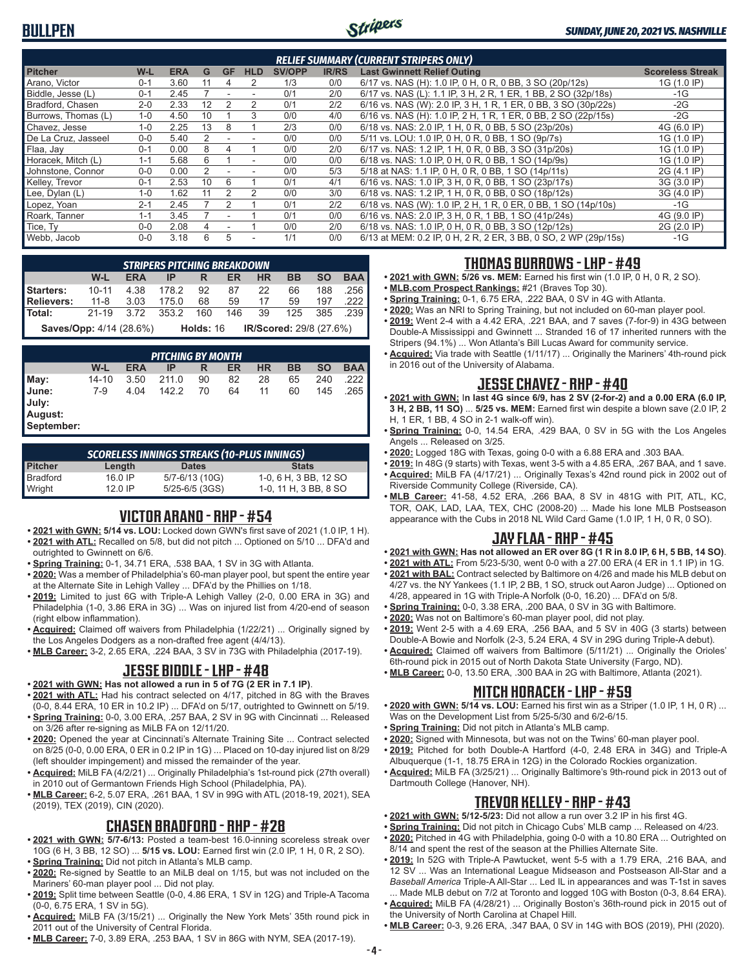

|                     |         |            |    |           |            |               |              | <b>RELIEF SUMMARY (CURRENT STRIPERS ONLY)</b>                   |                         |
|---------------------|---------|------------|----|-----------|------------|---------------|--------------|-----------------------------------------------------------------|-------------------------|
| <b>Pitcher</b>      | W-L     | <b>ERA</b> | G  | <b>GF</b> | <b>HLD</b> | <b>SV/OPP</b> | <b>IR/RS</b> | <b>Last Gwinnett Relief Outing</b>                              | <b>Scoreless Streak</b> |
| Arano, Victor       | $0 - 1$ | 3.60       | 11 | 4         | 2          | 1/3           | 0/0          | 6/17 vs. NAS (H): 1.0 IP, 0 H, 0 R, 0 BB, 3 SO (20p/12s)        | 1G (1.0 IP)             |
| Biddle, Jesse (L)   | $0 - 1$ | 2.45       |    |           |            | 0/1           | 2/0          | 6/17 vs. NAS (L): 1.1 IP, 3 H, 2 R, 1 ER, 1 BB, 2 SO (32p/18s)  | -1G                     |
| Bradford, Chasen    | $2 - 0$ | 2.33       | 12 |           | 2          | 0/1           | 2/2          | 6/16 vs. NAS (W): 2.0 IP, 3 H, 1 R, 1 ER, 0 BB, 3 SO (30p/22s)  | -2G                     |
| Burrows. Thomas (L) | $1 - 0$ | 4.50       | 10 |           | 3          | 0/0           | 4/0          | 6/16 vs. NAS (H): 1.0 IP, 2 H, 1 R, 1 ER, 0 BB, 2 SO (22p/15s)  | -2G                     |
| Chavez, Jesse       | $1 - 0$ | 2.25       | 13 | 8         |            | 2/3           | 0/0          | 6/18 vs. NAS: 2.0 IP, 1 H, 0 R, 0 BB, 5 SO (23p/20s)            | 4G (6.0 IP)             |
| De La Cruz, Jasseel | $0 - 0$ | 5.40       | 2  |           |            | 0/0           | 0/0          | 5/11 vs. LOU: 1.0 IP, 0 H, 0 R, 0 BB, 1 SO (9p/7s)              | 1G (1.0 IP)             |
| Flaa, Jay           | $0 - 1$ | 0.00       | 8  |           |            | 0/0           | 2/0          | 6/17 vs. NAS: 1.2 IP, 1 H, 0 R, 0 BB, 3 SO (31p/20s)            | 1G (1.0 IP)             |
| Horacek, Mitch (L)  | $1 - 1$ | 5.68       | 6  |           |            | 0/0           | 0/0          | 6/18 vs. NAS: 1.0 IP, 0 H, 0 R, 0 BB, 1 SO (14p/9s)             | 1G (1.0 IP)             |
| Johnstone, Connor   | $0 - 0$ | 0.00       | 2  |           |            | 0/0           | 5/3          | 5/18 at NAS: 1.1 IP, 0 H, 0 R, 0 BB, 1 SO (14p/11s)             | 2G (4.1 IP)             |
| Kelley, Trevor      | $0 - 1$ | 2.53       | 10 | 6         |            | 0/1           | 4/1          | 6/16 vs. NAS: 1.0 IP, 3 H, 0 R, 0 BB, 1 SO (23p/17s)            | 3G (3.0 IP)             |
| Lee, Dylan (L)      | $1 - 0$ | 1.62       | 11 |           | 2          | 0/0           | 3/0          | 6/18 vs. NAS: 1.2 IP, 1 H, 0 R, 0 BB, 0 SO (18p/12s)            | 3G (4.0 IP)             |
| Lopez, Yoan         | $2 - 1$ | 2.45       |    | 2         |            | 0/1           | 2/2          | 6/18 vs. NAS (W): 1.0 IP, 2 H, 1 R, 0 ER, 0 BB, 1 SO (14p/10s)  | $-1G$                   |
| Roark, Tanner       | $1 - 1$ | 3.45       |    |           |            | 0/1           | 0/0          | 6/16 vs. NAS: 2.0 IP, 3 H, 0 R, 1 BB, 1 SO (41p/24s)            | 4G (9.0 IP)             |
| Tice, Ty            | $0 - 0$ | 2.08       |    |           |            | 0/0           | 2/0          | 6/18 vs. NAS: 1.0 IP, 0 H, 0 R, 0 BB, 3 SO (12p/12s)            | 2G (2.0 IP)             |
| Webb, Jacob         | $0 - 0$ | 3.18       | 6  | 5         |            | 1/1           | 0/0          | 6/13 at MEM: 0.2 IP, 0 H, 2 R, 2 ER, 3 BB, 0 SO, 2 WP (29p/15s) | $-1G$                   |

| <b>STRIPERS PITCHING BREAKDOWN</b>                                     |           |            |       |     |     |           |           |           |            |
|------------------------------------------------------------------------|-----------|------------|-------|-----|-----|-----------|-----------|-----------|------------|
|                                                                        | W-L       | <b>ERA</b> | IP    | R   | ER  | <b>HR</b> | <b>BB</b> | <b>SO</b> | <b>BAA</b> |
| Starters:                                                              | $10 - 11$ | 4.38       | 178.2 | 92  | 87  | 22        | 66        | 188       | .256 II    |
| Relievers:                                                             | 11-8      | 3.03       | 175.0 | 68  | 59  | 17        | 59        | 197       | .222 I     |
| Total:                                                                 | $21 - 19$ | 3.72       | 353.2 | 160 | 146 | 39        | 125       | 385       | .239 I     |
| IR/Scored: 29/8 (27.6%)<br><b>Saves/Opp:</b> 4/14 (28.6%)<br>Holds: 16 |           |            |       |     |     |           |           |           |            |

| <b>PITCHING BY MONTH</b>                |           |            |       |    |    |           |    |           |            |  |
|-----------------------------------------|-----------|------------|-------|----|----|-----------|----|-----------|------------|--|
|                                         | W-L       | <b>ERA</b> | ΙP    | R  | ER | <b>HR</b> | ВB | <b>SO</b> | <b>BAA</b> |  |
| $\blacksquare$ May:                     | $14 - 10$ | 3.50       | 211.0 | 90 | 82 | 28        | 65 | 240       | .222       |  |
| June:<br>July:<br>August:<br>September: | 7-9       | 4.04       | 142.2 | 70 | 64 | 11        | 60 | 145       | .265       |  |

| <b>SCORELESS INNINGS STREAKS (10-PLUS INNINGS)</b> |         |                    |                       |  |  |  |  |  |  |  |
|----------------------------------------------------|---------|--------------------|-----------------------|--|--|--|--|--|--|--|
| <b>Pitcher</b>                                     | Length  | <b>Dates</b>       | <b>Stats</b>          |  |  |  |  |  |  |  |
| l Bradford                                         | 16 0 IP | 5/7-6/13 (10G)     | 1-0, 6 H, 3 BB, 12 SO |  |  |  |  |  |  |  |
| ∣ Wright                                           | 12.0 IP | $5/25 - 6/5$ (3GS) | 1-0, 11 H, 3 BB, 8 SO |  |  |  |  |  |  |  |

# **VICTOR ARANO - RHP - #54**

- **• 2021 with GWN: 5/14 vs. LOU:** Locked down GWN's first save of 2021 (1.0 IP, 1 H). **• 2021 with ATL:** Recalled on 5/8, but did not pitch ... Optioned on 5/10 ... DFA'd and outrighted to Gwinnett on 6/6.
- **• Spring Training:** 0-1, 34.71 ERA, .538 BAA, 1 SV in 3G with Atlanta.
- **• 2020:** Was a member of Philadelphia's 60-man player pool, but spent the entire year at the Alternate Site in Lehigh Valley ... DFA'd by the Phillies on 1/18.
- **• 2019:** Limited to just 6G with Triple-A Lehigh Valley (2-0, 0.00 ERA in 3G) and Philadelphia (1-0, 3.86 ERA in 3G) ... Was on injured list from 4/20-end of season (right elbow inflammation).
- **• Acquired:** Claimed off waivers from Philadelphia (1/22/21) ... Originally signed by the Los Angeles Dodgers as a non-drafted free agent (4/4/13).
- **• MLB Career:** 3-2, 2.65 ERA, .224 BAA, 3 SV in 73G with Philadelphia (2017-19).

# **JESSE BIDDLE - LHP - #48**

- **• 2021 with GWN: Has not allowed a run in 5 of 7G (2 ER in 7.1 IP)**.
- **• 2021 with ATL:** Had his contract selected on 4/17, pitched in 8G with the Braves
- (0-0, 8.44 ERA, 10 ER in 10.2 IP) ... DFA'd on 5/17, outrighted to Gwinnett on 5/19. **• Spring Training:** 0-0, 3.00 ERA, .257 BAA, 2 SV in 9G with Cincinnati ... Released on 3/26 after re-signing as MiLB FA on 12/11/20.
- **• 2020:** Opened the year at Cincinnati's Alternate Training Site ... Contract selected on 8/25 (0-0, 0.00 ERA, 0 ER in 0.2 IP in 1G) ... Placed on 10-day injured list on 8/29 (left shoulder impingement) and missed the remainder of the year.
- **• Acquired:** MiLB FA (4/2/21) ... Originally Philadelphia's 1st-round pick (27th overall) in 2010 out of Germantown Friends High School (Philadelphia, PA).
- **• MLB Career:** 6-2, 5.07 ERA, .261 BAA, 1 SV in 99G with ATL (2018-19, 2021), SEA (2019), TEX (2019), CIN (2020).

# **CHASEN BRADFORD - RHP - #28**

- **• 2021 with GWN: 5/7-6/13:** Posted a team-best 16.0-inning scoreless streak over 10G (6 H, 3 BB, 12 SO) ... **5/15 vs. LOU:** Earned first win (2.0 IP, 1 H, 0 R, 2 SO). **• Spring Training:** Did not pitch in Atlanta's MLB camp.
- **• 2020:** Re-signed by Seattle to an MiLB deal on 1/15, but was not included on the Mariners' 60-man player pool ... Did not play.
- **• 2019:** Split time between Seattle (0-0, 4.86 ERA, 1 SV in 12G) and Triple-A Tacoma (0-0, 6.75 ERA, 1 SV in 5G).
- **• Acquired:** MiLB FA (3/15/21) ... Originally the New York Mets' 35th round pick in 2011 out of the University of Central Florida.
- **• MLB Career:** 7-0, 3.89 ERA, .253 BAA, 1 SV in 86G with NYM, SEA (2017-19).

# **THOMAS BURROWS - LHP - #49**

- **• 2021 with GWN: 5/26 vs. MEM:** Earned his first win (1.0 IP, 0 H, 0 R, 2 SO).
- **• MLB.com Prospect Rankings:** #21 (Braves Top 30).
- **• Spring Training:** 0-1, 6.75 ERA, .222 BAA, 0 SV in 4G with Atlanta.
- **• 2020:** Was an NRI to Spring Training, but not included on 60-man player pool. **• 2019:** Went 2-4 with a 4.42 ERA, .221 BAA, and 7 saves (7-for-9) in 43G between Double-A Mississippi and Gwinnett ... Stranded 16 of 17 inherited runners with the Stripers (94.1%) ... Won Atlanta's Bill Lucas Award for community service.
- **• Acquired:** Via trade with Seattle (1/11/17) ... Originally the Mariners' 4th-round pick in 2016 out of the University of Alabama.

# **JESSE CHAVEZ - RHP - #40**

- **• 2021 with GWN:** I**n last 4G since 6/9, has 2 SV (2-for-2) and a 0.00 ERA (6.0 IP, 3 H, 2 BB, 11 SO)** ... **5/25 vs. MEM:** Earned first win despite a blown save (2.0 IP, 2 H, 1 ER, 1 BB, 4 SO in 2-1 walk-off win).
- **• Spring Training:** 0-0, 14.54 ERA, .429 BAA, 0 SV in 5G with the Los Angeles Angels ... Released on 3/25.
- **• 2020:** Logged 18G with Texas, going 0-0 with a 6.88 ERA and .303 BAA.
- **• 2019:** In 48G (9 starts) with Texas, went 3-5 with a 4.85 ERA, .267 BAA, and 1 save. **• Acquired:** MiLB FA (4/17/21) ... Originally Texas's 42nd round pick in 2002 out of
- Riverside Community College (Riverside, CA).
- **• MLB Career:** 41-58, 4.52 ERA, .266 BAA, 8 SV in 481G with PIT, ATL, KC, TOR, OAK, LAD, LAA, TEX, CHC (2008-20) ... Made his lone MLB Postseason appearance with the Cubs in 2018 NL Wild Card Game (1.0 IP, 1 H, 0 R, 0 SO).

# **JAY FLAA - RHP - #45**

- **• 2021 with GWN: Has not allowed an ER over 8G (1 R in 8.0 IP, 6 H, 5 BB, 14 SO)**.
- **• 2021 with ATL:** From 5/23-5/30, went 0-0 with a 27.00 ERA (4 ER in 1.1 IP) in 1G.
- **• 2021 with BAL:** Contract selected by Baltimore on 4/26 and made his MLB debut on 4/27 vs. the NY Yankees (1.1 IP, 2 BB, 1 SO, struck out Aaron Judge) ... Optioned on 4/28, appeared in 1G with Triple-A Norfolk (0-0, 16.20) ... DFA'd on 5/8.
- **• Spring Training:** 0-0, 3.38 ERA, .200 BAA, 0 SV in 3G with Baltimore.
- **• 2020:** Was not on Baltimore's 60-man player pool, did not play.
- **• 2019:** Went 2-5 with a 4.69 ERA, .256 BAA, and 5 SV in 40G (3 starts) between Double-A Bowie and Norfolk (2-3, 5.24 ERA, 4 SV in 29G during Triple-A debut).
- **• Acquired:** Claimed off waivers from Baltimore (5/11/21) ... Originally the Orioles' 6th-round pick in 2015 out of North Dakota State University (Fargo, ND).
- **• MLB Career:** 0-0, 13.50 ERA, .300 BAA in 2G with Baltimore, Atlanta (2021).

# **MITCH HORACEK - LHP - #59**

- **• 2020 with GWN: 5/14 vs. LOU:** Earned his first win as a Striper (1.0 IP, 1 H, 0 R) ... Was on the Development List from 5/25-5/30 and 6/2-6/15.
- **• Spring Training:** Did not pitch in Atlanta's MLB camp.
- **• 2020:** Signed with Minnesota, but was not on the Twins' 60-man player pool.
- **• 2019:** Pitched for both Double-A Hartford (4-0, 2.48 ERA in 34G) and Triple-A Albuquerque (1-1, 18.75 ERA in 12G) in the Colorado Rockies organization.
- **• Acquired:** MiLB FA (3/25/21) ... Originally Baltimore's 9th-round pick in 2013 out of Dartmouth College (Hanover, NH).

# **TREVOR KELLEY - RHP - #43**

- **• 2021 with GWN: 5/12-5/23:** Did not allow a run over 3.2 IP in his first 4G.
- **• Spring Training:** Did not pitch in Chicago Cubs' MLB camp ... Released on 4/23. **• 2020:** Pitched in 4G with Philadelphia, going 0-0 with a 10.80 ERA ... Outrighted on 8/14 and spent the rest of the season at the Phillies Alternate Site.
- **• 2019:** In 52G with Triple-A Pawtucket, went 5-5 with a 1.79 ERA, .216 BAA, and 12 SV ... Was an International League Midseason and Postseason All-Star and a *Baseball America* Triple-A All-Star ... Led IL in appearances and was T-1st in saves ... Made MLB debut on 7/2 at Toronto and logged 10G with Boston (0-3, 8.64 ERA).
- **• Acquired:** MiLB FA (4/28/21) ... Originally Boston's 36th-round pick in 2015 out of the University of North Carolina at Chapel Hill.
- **• MLB Career:** 0-3, 9.26 ERA, .347 BAA, 0 SV in 14G with BOS (2019), PHI (2020).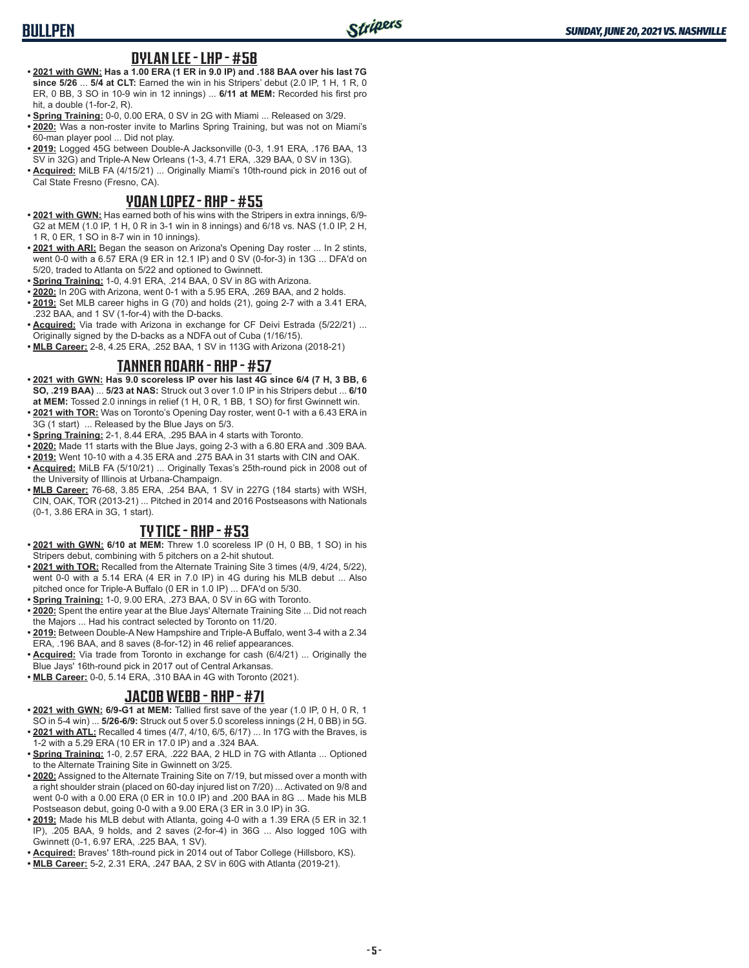# **BULLPEN**

#### **DYLAN LEE - LHP - #58**

- **• 2021 with GWN: Has a 1.00 ERA (1 ER in 9.0 IP) and .188 BAA over his last 7G since 5/26** ... **5/4 at CLT:** Earned the win in his Stripers' debut (2.0 IP, 1 H, 1 R, 0 ER, 0 BB, 3 SO in 10-9 win in 12 innings) ... **6/11 at MEM:** Recorded his first pro hit, a double (1-for-2, R).
- **• Spring Training:** 0-0, 0.00 ERA, 0 SV in 2G with Miami ... Released on 3/29.
- **• 2020:** Was a non-roster invite to Marlins Spring Training, but was not on Miami's 60-man player pool ... Did not play.
- **• 2019:** Logged 45G between Double-A Jacksonville (0-3, 1.91 ERA, .176 BAA, 13 SV in 32G) and Triple-A New Orleans (1-3, 4.71 ERA, .329 BAA, 0 SV in 13G).
- **• Acquired:** MiLB FA (4/15/21) ... Originally Miami's 10th-round pick in 2016 out of Cal State Fresno (Fresno, CA).

## **YOAN LOPEZ - RHP - #55**

- **• 2021 with GWN:** Has earned both of his wins with the Stripers in extra innings, 6/9- G2 at MEM (1.0 IP, 1 H, 0 R in 3-1 win in 8 innings) and 6/18 vs. NAS (1.0 IP, 2 H, 1 R, 0 ER, 1 SO in 8-7 win in 10 innings).
- **• 2021 with ARI:** Began the season on Arizona's Opening Day roster ... In 2 stints, went 0-0 with a 6.57 ERA (9 ER in 12.1 IP) and 0 SV (0-for-3) in 13G ... DFA'd on 5/20, traded to Atlanta on 5/22 and optioned to Gwinnett.
- **• Spring Training:** 1-0, 4.91 ERA, .214 BAA, 0 SV in 8G with Arizona.
- **• 2020:** In 20G with Arizona, went 0-1 with a 5.95 ERA, .269 BAA, and 2 holds.
- **• 2019:** Set MLB career highs in G (70) and holds (21), going 2-7 with a 3.41 ERA, .232 BAA, and 1 SV (1-for-4) with the D-backs.
- **• Acquired:** Via trade with Arizona in exchange for CF Deivi Estrada (5/22/21) ... Originally signed by the D-backs as a NDFA out of Cuba (1/16/15).
- **• MLB Career:** 2-8, 4.25 ERA, .252 BAA, 1 SV in 113G with Arizona (2018-21)

#### **TANNER ROARK - RHP - #57**

- **• 2021 with GWN: Has 9.0 scoreless IP over his last 4G since 6/4 (7 H, 3 BB, 6 SO, .219 BAA)** ... **5/23 at NAS:** Struck out 3 over 1.0 IP in his Stripers debut ... **6/10 at MEM:** Tossed 2.0 innings in relief (1 H, 0 R, 1 BB, 1 SO) for first Gwinnett win.
- **• 2021 with TOR:** Was on Toronto's Opening Day roster, went 0-1 with a 6.43 ERA in 3G (1 start) ... Released by the Blue Jays on 5/3.
- **• Spring Training:** 2-1, 8.44 ERA, .295 BAA in 4 starts with Toronto.
- **• 2020:** Made 11 starts with the Blue Jays, going 2-3 with a 6.80 ERA and .309 BAA.
- **• 2019:** Went 10-10 with a 4.35 ERA and .275 BAA in 31 starts with CIN and OAK.
- **• Acquired:** MiLB FA (5/10/21) ... Originally Texas's 25th-round pick in 2008 out of the University of Illinois at Urbana-Champaign.
- **• MLB Career:** 76-68, 3.85 ERA, .254 BAA, 1 SV in 227G (184 starts) with WSH, CIN, OAK, TOR (2013-21) ... Pitched in 2014 and 2016 Postseasons with Nationals (0-1, 3.86 ERA in 3G, 1 start).

## **TY TICE - RHP - #53**

- **• 2021 with GWN: 6/10 at MEM:** Threw 1.0 scoreless IP (0 H, 0 BB, 1 SO) in his Stripers debut, combining with 5 pitchers on a 2-hit shutout.
- **• 2021 with TOR:** Recalled from the Alternate Training Site 3 times (4/9, 4/24, 5/22), went 0-0 with a 5.14 ERA (4 ER in 7.0 IP) in 4G during his MLB debut ... Also pitched once for Triple-A Buffalo (0 ER in 1.0 IP) ... DFA'd on 5/30.
- **• Spring Training:** 1-0, 9.00 ERA, .273 BAA, 0 SV in 6G with Toronto.
- **• 2020:** Spent the entire year at the Blue Jays' Alternate Training Site ... Did not reach the Majors ... Had his contract selected by Toronto on 11/20.
- **• 2019:** Between Double-A New Hampshire and Triple-A Buffalo, went 3-4 with a 2.34 ERA, .196 BAA, and 8 saves (8-for-12) in 46 relief appearances.
- **• Acquired:** Via trade from Toronto in exchange for cash (6/4/21) ... Originally the Blue Jays' 16th-round pick in 2017 out of Central Arkansas.
- **• MLB Career:** 0-0, 5.14 ERA, .310 BAA in 4G with Toronto (2021).

## **JACOB WEBB - RHP - #71**

- **• 2021 with GWN: 6/9-G1 at MEM:** Tallied first save of the year (1.0 IP, 0 H, 0 R, 1 SO in 5-4 win) ... **5/26-6/9:** Struck out 5 over 5.0 scoreless innings (2 H, 0 BB) in 5G.
- **• 2021 with ATL:** Recalled 4 times (4/7, 4/10, 6/5, 6/17) ... In 17G with the Braves, is 1-2 with a 5.29 ERA (10 ER in 17.0 IP) and a .324 BAA.
- **• Spring Training:** 1-0, 2.57 ERA, .222 BAA, 2 HLD in 7G with Atlanta ... Optioned to the Alternate Training Site in Gwinnett on 3/25.
- **• 2020:** Assigned to the Alternate Training Site on 7/19, but missed over a month with a right shoulder strain (placed on 60-day injured list on 7/20) ... Activated on 9/8 and went 0-0 with a 0.00 ERA (0 ER in 10.0 IP) and .200 BAA in 8G ... Made his MLB Postseason debut, going 0-0 with a 9.00 ERA (3 ER in 3.0 IP) in 3G.
- **• 2019:** Made his MLB debut with Atlanta, going 4-0 with a 1.39 ERA (5 ER in 32.1 IP), .205 BAA, 9 holds, and 2 saves (2-for-4) in 36G ... Also logged 10G with Gwinnett (0-1, 6.97 ERA, .225 BAA, 1 SV).
- **• Acquired:** Braves' 18th-round pick in 2014 out of Tabor College (Hillsboro, KS).
- **• MLB Career:** 5-2, 2.31 ERA, .247 BAA, 2 SV in 60G with Atlanta (2019-21).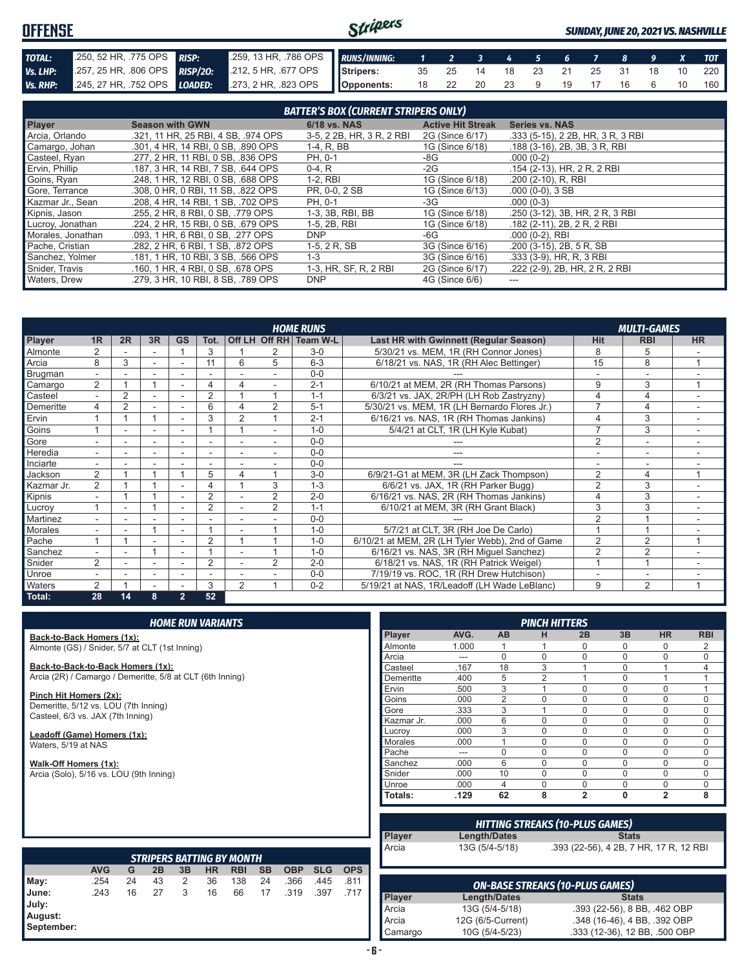#### Stripers **OFFENSE** *SUNDAY, JUNE 20, 2021 VS. NASHVILLE TOTAL:* .250, 52 HR, .775 OPS *RISP:* .259, 13 HR, .786 OPS *RUNS/INNING: 1 2 3 4 5 6 7 8 9 X TOT Vs. LHP:* .257, 25 HR, .806 OPS *RISP/2O:* .212, 5 HR, .677 OPS **Stripers:** 35 25 14 18 23 21 25 31 18 10 220 *Vs. RHP:* .245, 27 HR, .752 OPS *LOADED:* .273, 2 HR, .823 OPS **Opponents:** 18 22 20 23 9 19 17 16 6 10 160

| <b>BATTER'S BOX (CURRENT STRIPERS ONLY)</b> |                                     |                           |                          |                                   |  |  |  |
|---------------------------------------------|-------------------------------------|---------------------------|--------------------------|-----------------------------------|--|--|--|
| <b>Player</b>                               | <b>Season with GWN</b>              | <b>6/18 vs. NAS</b>       | <b>Active Hit Streak</b> | <b>Series vs. NAS</b>             |  |  |  |
| Arcia, Orlando                              | .321, 11 HR, 25 RBI, 4 SB, .974 OPS | 3-5, 2 2B, HR, 3 R, 2 RBI | 2G (Since 6/17)          | .333 (5-15), 2 2B, HR, 3 R, 3 RBI |  |  |  |
| Camargo, Johan                              | .301, 4 HR, 14 RBI, 0 SB, .890 OPS  | 1-4, R, BB                | 1G (Since 6/18)          | .188 (3-16), 2B, 3B, 3R, RBI      |  |  |  |
| Casteel, Ryan                               | .277, 2 HR, 11 RBI, 0 SB, .836 OPS  | PH, 0-1                   | -8G                      | $.000(0-2)$                       |  |  |  |
| Ervin, Phillip                              | .187, 3 HR, 14 RBI, 7 SB, .644 OPS  | $0-4, R$                  | -2G                      | .154 (2-13), HR, 2 R, 2 RBI       |  |  |  |
| Goins, Ryan                                 | .248, 1 HR, 12 RBI, 0 SB, .688 OPS  | $1-2.$ RBI                | 1G (Since 6/18)          | .200 (2-10), R, RBI               |  |  |  |
| Gore, Terrance                              | .308, 0 HR, 0 RBI, 11 SB, .822 OPS  | PR, 0-0, 2 SB             | 1G (Since 6/13)          | $.000(0-0), 3SB$                  |  |  |  |
| Kazmar Jr., Sean                            | .208, 4 HR, 14 RBI, 1 SB, .702 OPS  | PH, 0-1                   | -3G                      | $.000(0-3)$                       |  |  |  |
| Kipnis, Jason                               | .255, 2 HR, 8 RBI, 0 SB, .779 OPS   | 1-3, 3B, RBI, BB          | 1G (Since 6/18)          | .250 (3-12), 3B, HR, 2 R, 3 RBI   |  |  |  |
| Lucroy, Jonathan                            | .224, 2 HR, 15 RBI, 0 SB, .679 OPS  | 1-5, 2B, RBI              | 1G (Since 6/18)          | .182 (2-11), 2B, 2 R, 2 RBI       |  |  |  |
| Morales, Jonathan                           | .093, 1 HR, 6 RBI, 0 SB, .277 OPS   | <b>DNP</b>                | -6G                      | $.000(0-2)$ , RBI                 |  |  |  |
| Pache, Cristian                             | .282, 2 HR, 6 RBI, 1 SB, .872 OPS   | 1-5, 2 R, SB              | 3G (Since 6/16)          | .200 (3-15), 2B, 5 R, SB          |  |  |  |
| Sanchez, Yolmer                             | .181, 1 HR, 10 RBI, 3 SB, .566 OPS  | $1 - 3$                   | 3G (Since 6/16)          | .333 (3-9), HR, R, 3 RBI          |  |  |  |
| Snider, Travis                              | .160, 1 HR, 4 RBI, 0 SB, .678 OPS   | 1-3, HR, SF, R, 2 RBI     | 2G (Since 6/17)          | .222 (2-9), 2B, HR, 2 R, 2 RBI    |  |  |  |
| Waters, Drew                                | .279. 3 HR. 10 RBI. 8 SB. .789 OPS  | <b>DNP</b>                | 4G (Since 6/6)           | ---                               |  |  |  |

|                | <b>HOME RUNS</b><br><b>MULTI-GAMES</b> |                |                          |                |                          |                |                |                        |                                                 |                |                          |           |
|----------------|----------------------------------------|----------------|--------------------------|----------------|--------------------------|----------------|----------------|------------------------|-------------------------------------------------|----------------|--------------------------|-----------|
| Player         | 1R                                     | 2R             | 3R                       | <b>GS</b>      | Tot.                     |                |                | Off LH Off RH Team W-L | Last HR with Gwinnett (Regular Season)          | <b>Hit</b>     | <b>RBI</b>               | <b>HR</b> |
| Almonte        |                                        |                |                          |                | 3                        |                |                | $3-0$                  | 5/30/21 vs. MEM, 1R (RH Connor Jones)           | 8              | 5                        |           |
| Arcia          | 8                                      | 3              | ٠                        | ٠              | 11                       | 6              | 5              | $6 - 3$                | 6/18/21 vs. NAS, 1R (RH Alec Bettinger)         | 15             | 8                        |           |
| Brugman        | ٠                                      |                |                          |                |                          |                |                | $0 - 0$                |                                                 |                |                          |           |
| Camargo        | $\overline{2}$                         |                |                          |                | 4                        |                |                | $2 - 1$                | 6/10/21 at MEM, 2R (RH Thomas Parsons)          | 9              | 3                        |           |
| Casteel        |                                        | $\overline{2}$ |                          |                | $\overline{2}$           |                |                | $1 - 1$                | 6/3/21 vs. JAX, 2R/PH (LH Rob Zastryzny)        |                | 4                        |           |
| Demeritte      | 4                                      | $\overline{2}$ |                          |                | 6                        | 4              | 2              | $5 - 1$                | 5/30/21 vs. MEM, 1R (LH Bernardo Flores Jr.)    | 7              | 4                        |           |
| Ervin          |                                        |                | 4                        |                | 3                        | 2              |                | $2 - 1$                | 6/16/21 vs. NAS, 1R (RH Thomas Jankins)         |                | 3                        |           |
| Goins          |                                        |                |                          |                |                          |                |                | $1 - 0$                | 5/4/21 at CLT, 1R (LH Kyle Kubat)               | $\overline{7}$ | 3                        |           |
| Gore           | ÷                                      | ۰              | $\sim$                   |                | ٠                        |                |                | $0 - 0$                |                                                 | $\overline{2}$ | $\overline{\phantom{a}}$ |           |
| Heredia        | $\overline{\phantom{0}}$               |                | ٠                        | ۰              | ٠                        |                |                | $0 - 0$                |                                                 |                | ۰                        |           |
| Inciarte       |                                        |                |                          |                |                          |                |                | $0 - 0$                |                                                 |                |                          |           |
| Jackson        | $\overline{2}$                         |                |                          |                | 5                        | 4              |                | $3-0$                  | 6/9/21-G1 at MEM, 3R (LH Zack Thompson)         | $\overline{2}$ | 4                        |           |
| Kazmar Jr.     | $\overline{2}$                         |                |                          |                | 4                        |                | 3              | $1 - 3$                | 6/6/21 vs. JAX, 1R (RH Parker Bugg)             | $\overline{2}$ | 3                        |           |
| Kipnis         | $\overline{\phantom{0}}$               |                |                          |                | $\overline{2}$           |                | $\overline{2}$ | $2 - 0$                | 6/16/21 vs. NAS, 2R (RH Thomas Jankins)         | 4              | 3                        | ۰         |
| Lucrov         |                                        | ۰              |                          |                | $\overline{2}$           |                | $\overline{2}$ | $1 - 1$                | 6/10/21 at MEM, 3R (RH Grant Black)             | 3              | 3                        |           |
| Martinez       |                                        |                |                          |                |                          |                |                | $0 - 0$                |                                                 | $\overline{2}$ |                          |           |
| <b>Morales</b> |                                        |                |                          |                |                          |                |                | $1 - 0$                | 5/7/21 at CLT, 3R (RH Joe De Carlo)             |                |                          |           |
| Pache          |                                        |                |                          |                | $\overline{2}$           |                |                | $1 - 0$                | 6/10/21 at MEM, 2R (LH Tyler Webb), 2nd of Game | $\overline{2}$ | $\overline{2}$           |           |
| Sanchez        |                                        |                |                          |                |                          |                |                | $1 - 0$                | 6/16/21 vs. NAS, 3R (RH Miguel Sanchez)         | $\overline{2}$ | $\overline{2}$           |           |
| Snider         | $\mathcal{P}$                          |                |                          |                | $\overline{2}$           |                | 2              | $2 - 0$                | 6/18/21 vs. NAS, 1R (RH Patrick Weigel)         |                |                          |           |
| Unroe          |                                        |                | $\overline{\phantom{a}}$ | ۰              | $\overline{\phantom{a}}$ |                |                | $0 - 0$                | 7/19/19 vs. ROC, 1R (RH Drew Hutchison)         |                | ۰                        |           |
| Waters         | 2                                      |                |                          |                | 3                        | $\overline{2}$ |                | $0 - 2$                | 5/19/21 at NAS, 1R/Leadoff (LH Wade LeBlanc)    | 9              | $\overline{2}$           |           |
| Total:         | 28                                     | 14             | 8                        | $\overline{2}$ | 52                       |                |                |                        |                                                 |                |                          |           |

|                                                                           |            |    |                                  |    | <b>HOME RUN VARIANTS</b> |            |           |            |            |            |                |       |                     | <b>PINCH HITTERS</b> |                                        |              |                                        |             |
|---------------------------------------------------------------------------|------------|----|----------------------------------|----|--------------------------|------------|-----------|------------|------------|------------|----------------|-------|---------------------|----------------------|----------------------------------------|--------------|----------------------------------------|-------------|
| Back-to-Back Homers (1x):                                                 |            |    |                                  |    |                          |            |           |            |            |            | Player         | AVG.  | <b>AB</b>           | н                    | 2B                                     | 3B           | <b>HR</b>                              | <b>RBI</b>  |
| Almonte (GS) / Snider, 5/7 at CLT (1st Inning)                            |            |    |                                  |    |                          |            |           |            |            |            | Almonte        | 1.000 |                     |                      | $\Omega$                               | 0            | $\Omega$                               | 2           |
|                                                                           |            |    |                                  |    |                          |            |           |            |            |            | Arcia          | ---   | $\Omega$            | $\Omega$             | $\Omega$                               | $\Omega$     | 0                                      | $\mathbf 0$ |
| Back-to-Back-to-Back Homers (1x):                                         |            |    |                                  |    |                          |            |           |            |            |            | Casteel        | .167  | 18                  | 3                    |                                        | $\mathbf 0$  |                                        | 4           |
| Arcia (2R) / Camargo / Demeritte, 5/8 at CLT (6th Inning)                 |            |    |                                  |    |                          |            |           |            |            |            | Demeritte      | .400  | 5                   | $\overline{2}$       |                                        | $\mathbf 0$  |                                        |             |
|                                                                           |            |    |                                  |    |                          |            |           |            |            |            | Ervin          | .500  | 3                   |                      | $\Omega$                               | $\mathbf 0$  | 0                                      |             |
| Pinch Hit Homers (2x):                                                    |            |    |                                  |    |                          |            |           |            |            |            | Goins          | .000  | $\overline{2}$      | $\Omega$             | $\Omega$                               | $\mathbf 0$  | $\Omega$                               | $\mathbf 0$ |
| Demeritte, 5/12 vs. LOU (7th Inning)<br>Casteel, 6/3 vs. JAX (7th Inning) |            |    |                                  |    |                          |            |           |            |            |            | Gore           | .333  | 3                   |                      | $\mathbf{0}$                           | $\mathbf 0$  | 0                                      | $\mathbf 0$ |
|                                                                           |            |    |                                  |    |                          |            |           |            |            |            | Kazmar Jr.     | .000  | 6                   | $\Omega$             | $\mathbf{0}$                           | $\mathbf 0$  | 0                                      | $\mathbf 0$ |
| Leadoff (Game) Homers (1x):                                               |            |    |                                  |    |                          |            |           |            |            |            | Lucrov         | .000  | 3                   | $\Omega$             | 0                                      | $\Omega$     | $\Omega$                               | $\mathbf 0$ |
| Waters, 5/19 at NAS                                                       |            |    |                                  |    |                          |            |           |            |            |            | <b>Morales</b> | .000  |                     | $\Omega$             | $\Omega$                               | $\mathbf 0$  | 0                                      | $\mathbf 0$ |
|                                                                           |            |    |                                  |    |                          |            |           |            |            |            | Pache          | ---   | $\Omega$            | $\Omega$             | $\Omega$                               | $\Omega$     | 0                                      | $\mathbf 0$ |
| Walk-Off Homers (1x):                                                     |            |    |                                  |    |                          |            |           |            |            |            | Sanchez        | .000  | 6                   | $\Omega$             | $\mathbf 0$                            | $\mathbf 0$  | 0                                      | $\mathbf 0$ |
| Arcia (Solo), 5/16 vs. LOU (9th Inning)                                   |            |    |                                  |    |                          |            |           |            |            |            | Snider         | .000  | 10                  | $\Omega$             | $\Omega$                               | $\Omega$     | $\Omega$                               | $\mathbf 0$ |
|                                                                           |            |    |                                  |    |                          |            |           |            |            |            | Unroe          | .000  | $\overline{4}$      | $\Omega$             | $\Omega$                               | $\mathbf 0$  | $\Omega$                               | $\mathbf 0$ |
|                                                                           |            |    |                                  |    |                          |            |           |            |            |            | <b>Totals:</b> | .129  | 62                  | 8                    | $\overline{2}$                         | $\mathbf{0}$ | $\overline{2}$                         | 8           |
|                                                                           |            |    |                                  |    |                          |            |           |            |            |            |                |       |                     |                      | <b>HITTING STREAKS (10-PLUS GAMES)</b> |              |                                        |             |
|                                                                           |            |    |                                  |    |                          |            |           |            |            |            | Player         |       | <b>Length/Dates</b> |                      |                                        | <b>Stats</b> |                                        |             |
|                                                                           |            |    | <b>STRIPERS BATTING BY MONTH</b> |    |                          |            |           |            |            |            | Arcia          |       | 13G (5/4-5/18)      |                      |                                        |              | .393 (22-56), 4 2B, 7 HR, 17 R, 12 RBI |             |
|                                                                           | <b>AVG</b> | G  | 2B                               | 3B | <b>HR</b>                | <b>RBI</b> | <b>SB</b> | <b>OBP</b> | <b>SLG</b> | <b>OPS</b> |                |       |                     |                      |                                        |              |                                        |             |
| May:                                                                      | .254       | 24 | 43                               | 2  | 36                       | 138        | 24        | .366       | .445       | .811       |                |       |                     |                      | <b>ON-BASE STREAKS (10-PLUS GAMES)</b> |              |                                        |             |
| June:                                                                     | .243       | 16 | 27                               | 3  | 16                       | 66         | 17        | .319       | .397       | .717       | Player         |       | Length/Dates        |                      |                                        | <b>Stats</b> |                                        |             |
| July:                                                                     |            |    |                                  |    |                          |            |           |            |            |            | Arcia          |       | 13G (5/4-5/18)      |                      |                                        |              | .393 (22-56), 8 BB, .462 OBP           |             |
| August:                                                                   |            |    |                                  |    |                          |            |           |            |            |            | Arcia          |       | 12G (6/5-Current)   |                      |                                        |              | .348 (16-46), 4 BB, .392 OBP           |             |
| September:                                                                |            |    |                                  |    |                          |            |           |            |            |            | Camargo        |       | 10G (5/4-5/23)      |                      |                                        |              | .333 (12-36), 12 BB, .500 OBP          |             |

|--|--|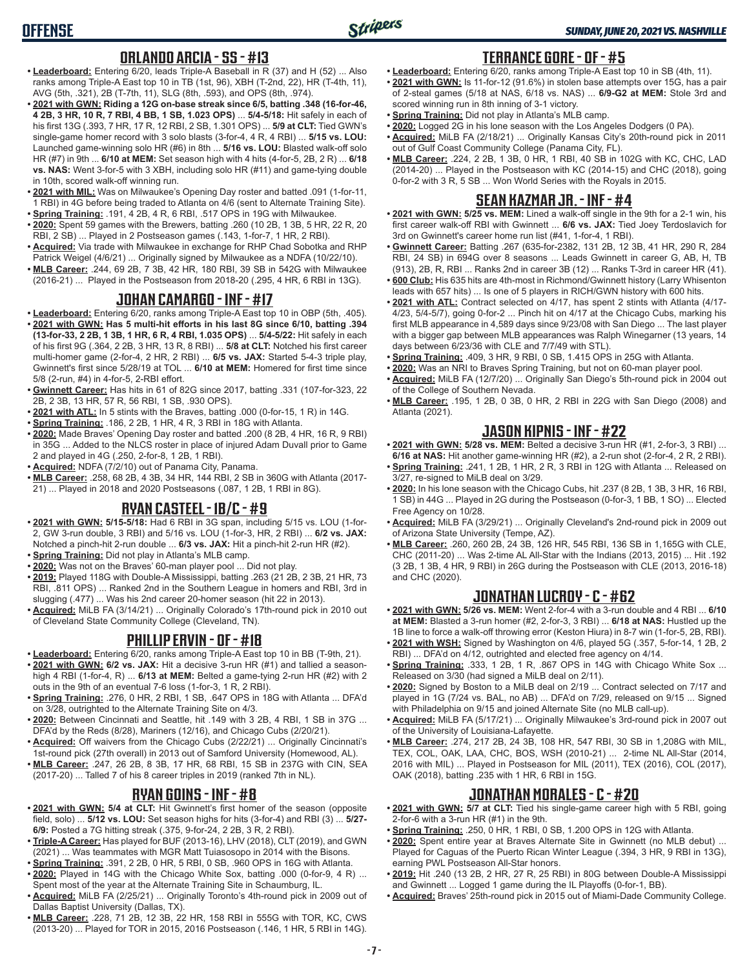## **ORLANDO ARCIA - SS - #13**

- **• Leaderboard:** Entering 6/20, leads Triple-A Baseball in R (37) and H (52) ... Also ranks among Triple-A East top 10 in TB (1st, 96), XBH (T-2nd, 22), HR (T-4th, 11), AVG (5th, .321), 2B (T-7th, 11), SLG (8th, .593), and OPS (8th, .974).
- **• 2021 with GWN: Riding a 12G on-base streak since 6/5, batting .348 (16-for-46, 4 2B, 3 HR, 10 R, 7 RBI, 4 BB, 1 SB, 1.023 OPS)** ... **5/4-5/18:** Hit safely in each of his first 13G (.393, 7 HR, 17 R, 12 RBI, 2 SB, 1.301 OPS) ... **5/9 at CLT:** Tied GWN's single-game homer record with 3 solo blasts (3-for-4, 4 R, 4 RBI) ... **5/15 vs. LOU:** Launched game-winning solo HR (#6) in 8th ... **5/16 vs. LOU:** Blasted walk-off solo HR (#7) in 9th ... **6/10 at MEM:** Set season high with 4 hits (4-for-5, 2B, 2 R) ... **6/18 vs. NAS:** Went 3-for-5 with 3 XBH, including solo HR (#11) and game-tying double in 10th, scored walk-off winning run.
- **• 2021 with MIL:** Was on Milwaukee's Opening Day roster and batted .091 (1-for-11, 1 RBI) in 4G before being traded to Atlanta on 4/6 (sent to Alternate Training Site). **• Spring Training:** .191, 4 2B, 4 R, 6 RBI, .517 OPS in 19G with Milwaukee.
- **• 2020:** Spent 59 games with the Brewers, batting .260 (10 2B, 1 3B, 5 HR, 22 R, 20 RBI, 2 SB) ... Played in 2 Postseason games (.143, 1-for-7, 1 HR, 2 RBI).
- **• Acquired:** Via trade with Milwaukee in exchange for RHP Chad Sobotka and RHP Patrick Weigel (4/6/21) ... Originally signed by Milwaukee as a NDFA (10/22/10).
- **• MLB Career:** .244, 69 2B, 7 3B, 42 HR, 180 RBI, 39 SB in 542G with Milwaukee (2016-21) ... Played in the Postseason from 2018-20 (.295, 4 HR, 6 RBI in 13G).

#### **JOHAN CAMARGO - INF - #17**

- **• Leaderboard:** Entering 6/20, ranks among Triple-A East top 10 in OBP (5th, .405).
- **• 2021 with GWN: Has 5 multi-hit efforts in his last 8G since 6/10, batting .394 (13-for-33, 2 2B, 1 3B, 1 HR, 6 R, 4 RBI, 1.035 OPS)** ... **5/4-5/22:** Hit safely in each of his first 9G (.364, 2 2B, 3 HR, 13 R, 8 RBI) ... **5/8 at CLT:** Notched his first career multi-homer game (2-for-4, 2 HR, 2 RBI) ... **6/5 vs. JAX:** Started 5-4-3 triple play, Gwinnett's first since 5/28/19 at TOL ... **6/10 at MEM:** Homered for first time since 5/8 (2-run, #4) in 4-for-5, 2-RBI effort.
- **• Gwinnett Career:** Has hits in 61 of 82G since 2017, batting .331 (107-for-323, 22 2B, 2 3B, 13 HR, 57 R, 56 RBI, 1 SB, .930 OPS).
- **• 2021 with ATL:** In 5 stints with the Braves, batting .000 (0-for-15, 1 R) in 14G.
- **• Spring Training:** .186, 2 2B, 1 HR, 4 R, 3 RBI in 18G with Atlanta.
- **• 2020:** Made Braves' Opening Day roster and batted .200 (8 2B, 4 HR, 16 R, 9 RBI) in 35G ... Added to the NLCS roster in place of injured Adam Duvall prior to Game 2 and played in 4G (.250, 2-for-8, 1 2B, 1 RBI).
- **• Acquired:** NDFA (7/2/10) out of Panama City, Panama.
- **• MLB Career:** .258, 68 2B, 4 3B, 34 HR, 144 RBI, 2 SB in 360G with Atlanta (2017- 21) ... Played in 2018 and 2020 Postseasons (.087, 1 2B, 1 RBI in 8G).

## **RYAN CASTEEL - 1B/C - #9**

- **• 2021 with GWN: 5/15-5/18:** Had 6 RBI in 3G span, including 5/15 vs. LOU (1-for-2, GW 3-run double, 3 RBI) and 5/16 vs. LOU (1-for-3, HR, 2 RBI) ... **6/2 vs. JAX:** Notched a pinch-hit 2-run double ... **6/3 vs. JAX:** Hit a pinch-hit 2-run HR (#2).
- **• Spring Training:** Did not play in Atlanta's MLB camp.
- **• 2020:** Was not on the Braves' 60-man player pool ... Did not play.
- **• 2019:** Played 118G with Double-A Mississippi, batting .263 (21 2B, 2 3B, 21 HR, 73 RBI, .811 OPS) ... Ranked 2nd in the Southern League in homers and RBI, 3rd in slugging (.477) ... Was his 2nd career 20-homer season (hit 22 in 2013).
- **• Acquired:** MiLB FA (3/14/21) ... Originally Colorado's 17th-round pick in 2010 out of Cleveland State Community College (Cleveland, TN).

# **PHILLIP ERVIN - OF - #18**

- **• Leaderboard:** Entering 6/20, ranks among Triple-A East top 10 in BB (T-9th, 21).
- **• 2021 with GWN: 6/2 vs. JAX:** Hit a decisive 3-run HR (#1) and tallied a seasonhigh 4 RBI (1-for-4, R) ... **6/13 at MEM:** Belted a game-tying 2-run HR (#2) with 2 outs in the 9th of an eventual 7-6 loss (1-for-3, 1 R, 2 RBI).
- **• Spring Training:** .276, 0 HR, 2 RBI, 1 SB, .647 OPS in 18G with Atlanta ... DFA'd on 3/28, outrighted to the Alternate Training Site on 4/3.
- **• 2020:** Between Cincinnati and Seattle, hit .149 with 3 2B, 4 RBI, 1 SB in 37G ... DFA'd by the Reds (8/28), Mariners (12/16), and Chicago Cubs (2/20/21).
- **• Acquired:** Off waivers from the Chicago Cubs (2/22/21) ... Originally Cincinnati's 1st-round pick (27th overall) in 2013 out of Samford University (Homewood, AL).
- **• MLB Career:** .247, 26 2B, 8 3B, 17 HR, 68 RBI, 15 SB in 237G with CIN, SEA (2017-20) ... Talled 7 of his 8 career triples in 2019 (ranked 7th in NL).

## **RYAN GOINS - INF - #8**

- **• 2021 with GWN: 5/4 at CLT:** Hit Gwinnett's first homer of the season (opposite field, solo) ... **5/12 vs. LOU:** Set season highs for hits (3-for-4) and RBI (3) ... **5/27- 6/9:** Posted a 7G hitting streak (.375, 9-for-24, 2 2B, 3 R, 2 RBI).
- **• Triple-A Career:** Has played for BUF (2013-16), LHV (2018), CLT (2019), and GWN (2021) ... Was teammates with MGR Matt Tuiasosopo in 2014 with the Bisons.
- **• Spring Training:** .391, 2 2B, 0 HR, 5 RBI, 0 SB, .960 OPS in 16G with Atlanta. **• 2020:** Played in 14G with the Chicago White Sox, batting .000 (0-for-9, 4 R) ...
- Spent most of the year at the Alternate Training Site in Schaumburg, IL.
- **• Acquired:** MiLB FA (2/25/21) ... Originally Toronto's 4th-round pick in 2009 out of Dallas Baptist University (Dallas, TX).
- **• MLB Career:** .228, 71 2B, 12 3B, 22 HR, 158 RBI in 555G with TOR, KC, CWS (2013-20) ... Played for TOR in 2015, 2016 Postseason (.146, 1 HR, 5 RBI in 14G).

## **TERRANCE GORE - OF - #5**

- **• Leaderboard:** Entering 6/20, ranks among Triple-A East top 10 in SB (4th, 11). **• 2021 with GWN:** Is 11-for-12 (91.6%) in stolen base attempts over 15G, has a pair
- of 2-steal games (5/18 at NAS, 6/18 vs. NAS) ... **6/9-G2 at MEM:** Stole 3rd and scored winning run in 8th inning of 3-1 victory.
- **• Spring Training:** Did not play in Atlanta's MLB camp.
- **• 2020:** Logged 2G in his lone season with the Los Angeles Dodgers (0 PA). **• Acquired:** MiLB FA (2/18/21) ... Originally Kansas City's 20th-round pick in 2011 out of Gulf Coast Community College (Panama City, FL).
- **• MLB Career:** .224, 2 2B, 1 3B, 0 HR, 1 RBI, 40 SB in 102G with KC, CHC, LAD (2014-20) ... Played in the Postseason with KC (2014-15) and CHC (2018), going 0-for-2 with 3 R, 5 SB ... Won World Series with the Royals in 2015.

# **SEAN KAZMAR JR. - INF - #4**

- **• 2021 with GWN: 5/25 vs. MEM:** Lined a walk-off single in the 9th for a 2-1 win, his first career walk-off RBI with Gwinnett ... **6/6 vs. JAX:** Tied Joey Terdoslavich for 3rd on Gwinnett's career home run list (#41, 1-for-4, 1 RBI).
- **• Gwinnett Career:** Batting .267 (635-for-2382, 131 2B, 12 3B, 41 HR, 290 R, 284 RBI, 24 SB) in 694G over 8 seasons ... Leads Gwinnett in career G, AB, H, TB (913), 2B, R, RBI ... Ranks 2nd in career 3B (12) ... Ranks T-3rd in career HR (41).
- **• 600 Club:** His 635 hits are 4th-most in Richmond/Gwinnett history (Larry Whisenton leads with 657 hits) ... Is one of 5 players in RICH/GWN history with 600 hits.
- **• 2021 with ATL:** Contract selected on 4/17, has spent 2 stints with Atlanta (4/17- 4/23, 5/4-5/7), going 0-for-2 ... Pinch hit on 4/17 at the Chicago Cubs, marking his first MLB appearance in 4,589 days since 9/23/08 with San Diego ... The last player with a bigger gap between MLB appearances was Ralph Winegarner (13 years, 14 days between 6/23/36 with CLE and 7/7/49 with STL).
- **• Spring Training:** .409, 3 HR, 9 RBI, 0 SB, 1.415 OPS in 25G with Atlanta.
- **• 2020:** Was an NRI to Braves Spring Training, but not on 60-man player pool.
- **• Acquired:** MiLB FA (12/7/20) ... Originally San Diego's 5th-round pick in 2004 out of the College of Southern Nevada.
- **• MLB Career:** .195, 1 2B, 0 3B, 0 HR, 2 RBI in 22G with San Diego (2008) and Atlanta (2021).

## **JASON KIPNIS - INF - #22**

- **• 2021 with GWN: 5/28 vs. MEM:** Belted a decisive 3-run HR (#1, 2-for-3, 3 RBI) ... **6/16 at NAS:** Hit another game-winning HR (#2), a 2-run shot (2-for-4, 2 R, 2 RBI).
- **• Spring Training:** .241, 1 2B, 1 HR, 2 R, 3 RBI in 12G with Atlanta ... Released on 3/27, re-signed to MiLB deal on 3/29.
- **• 2020:** In his lone season with the Chicago Cubs, hit .237 (8 2B, 1 3B, 3 HR, 16 RBI, 1 SB) in 44G ... Played in 2G during the Postseason (0-for-3, 1 BB, 1 SO) ... Elected Free Agency on 10/28.
- **• Acquired:** MiLB FA (3/29/21) ... Originally Cleveland's 2nd-round pick in 2009 out of Arizona State University (Tempe, AZ).
- **• MLB Career:** .260, 260 2B, 24 3B, 126 HR, 545 RBI, 136 SB in 1,165G with CLE, CHC (2011-20) ... Was 2-time AL All-Star with the Indians (2013, 2015) ... Hit .192 (3 2B, 1 3B, 4 HR, 9 RBI) in 26G during the Postseason with CLE (2013, 2016-18) and CHC (2020).

# **JONATHAN LUCROY - C - #62**

- **• 2021 with GWN: 5/26 vs. MEM:** Went 2-for-4 with a 3-run double and 4 RBI ... **6/10 at MEM:** Blasted a 3-run homer (#2, 2-for-3, 3 RBI) ... **6/18 at NAS:** Hustled up the 1B line to force a walk-off throwing error (Keston Hiura) in 8-7 win (1-for-5, 2B, RBI).
- **• 2021 with WSH:** Signed by Washington on 4/6, played 5G (.357, 5-for-14, 1 2B, 2 RBI) ... DFA'd on 4/12, outrighted and elected free agency on 4/14.
- **• Spring Training:** .333, 1 2B, 1 R, .867 OPS in 14G with Chicago White Sox ... Released on 3/30 (had signed a MiLB deal on 2/11).
- **• 2020:** Signed by Boston to a MiLB deal on 2/19 ... Contract selected on 7/17 and played in 1G (7/24 vs. BAL, no AB) ... DFA'd on 7/29, released on 9/15 ... Signed with Philadelphia on 9/15 and joined Alternate Site (no MLB call-up).
- **• Acquired:** MiLB FA (5/17/21) ... Originally Milwaukee's 3rd-round pick in 2007 out of the University of Louisiana-Lafayette.
- **• MLB Career:** .274, 217 2B, 24 3B, 108 HR, 547 RBI, 30 SB in 1,208G with MIL, TEX, COL, OAK, LAA, CHC, BOS, WSH (2010-21) ... 2-time NL All-Star (2014, 2016 with MIL) ... Played in Postseason for MIL (2011), TEX (2016), COL (2017), OAK (2018), batting .235 with 1 HR, 6 RBI in 15G.

## **JONATHAN MORALES - C - #20**

- **• 2021 with GWN: 5/7 at CLT:** Tied his single-game career high with 5 RBI, going 2-for-6 with a 3-run HR (#1) in the 9th.
- **• Spring Training:** .250, 0 HR, 1 RBI, 0 SB, 1.200 OPS in 12G with Atlanta.
- **• 2020:** Spent entire year at Braves Alternate Site in Gwinnett (no MLB debut) ... Played for Caguas of the Puerto Rican Winter League (.394, 3 HR, 9 RBI in 13G), earning PWL Postseason All-Star honors.
- **• 2019:** Hit .240 (13 2B, 2 HR, 27 R, 25 RBI) in 80G between Double-A Mississippi and Gwinnett ... Logged 1 game during the IL Playoffs (0-for-1, BB).
- **• Acquired:** Braves' 25th-round pick in 2015 out of Miami-Dade Community College.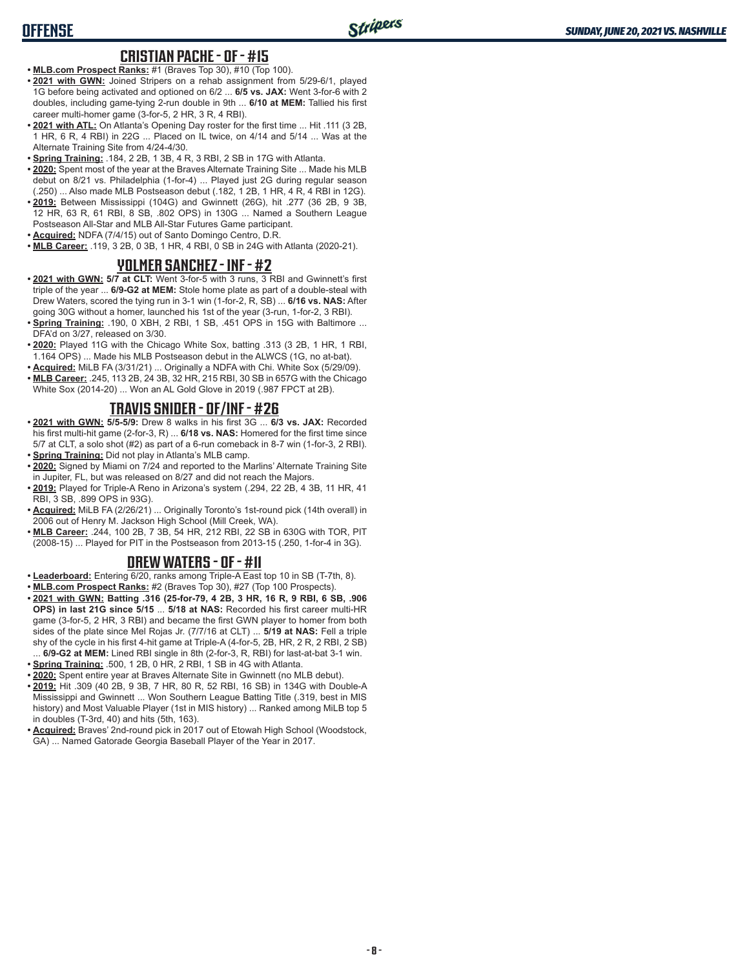# **OFFENSE**

#### **CRISTIAN PACHE - OF - #15**

- **• MLB.com Prospect Ranks:** #1 (Braves Top 30), #10 (Top 100).
- **• 2021 with GWN:** Joined Stripers on a rehab assignment from 5/29-6/1, played 1G before being activated and optioned on 6/2 ... **6/5 vs. JAX:** Went 3-for-6 with 2 doubles, including game-tying 2-run double in 9th ... **6/10 at MEM:** Tallied his first career multi-homer game (3-for-5, 2 HR, 3 R, 4 RBI).
- **• 2021 with ATL:** On Atlanta's Opening Day roster for the first time ... Hit .111 (3 2B, 1 HR, 6 R, 4 RBI) in 22G ... Placed on IL twice, on 4/14 and 5/14 ... Was at the Alternate Training Site from 4/24-4/30.
- **• Spring Training:** .184, 2 2B, 1 3B, 4 R, 3 RBI, 2 SB in 17G with Atlanta.
- **• 2020:** Spent most of the year at the Braves Alternate Training Site ... Made his MLB debut on 8/21 vs. Philadelphia (1-for-4) ... Played just 2G during regular season (.250) ... Also made MLB Postseason debut (.182, 1 2B, 1 HR, 4 R, 4 RBI in 12G).
- **• 2019:** Between Mississippi (104G) and Gwinnett (26G), hit .277 (36 2B, 9 3B, 12 HR, 63 R, 61 RBI, 8 SB, .802 OPS) in 130G ... Named a Southern League Postseason All-Star and MLB All-Star Futures Game participant.
- **• Acquired:** NDFA (7/4/15) out of Santo Domingo Centro, D.R.
- **• MLB Career:** .119, 3 2B, 0 3B, 1 HR, 4 RBI, 0 SB in 24G with Atlanta (2020-21).

#### **YOLMER SANCHEZ - INF - #2**

- **• 2021 with GWN: 5/7 at CLT:** Went 3-for-5 with 3 runs, 3 RBI and Gwinnett's first triple of the year ... **6/9-G2 at MEM:** Stole home plate as part of a double-steal with Drew Waters, scored the tying run in 3-1 win (1-for-2, R, SB) ... **6/16 vs. NAS:** After going 30G without a homer, launched his 1st of the year (3-run, 1-for-2, 3 RBI).
- **• Spring Training:** .190, 0 XBH, 2 RBI, 1 SB, .451 OPS in 15G with Baltimore ... DFA'd on 3/27, released on 3/30.
- **• 2020:** Played 11G with the Chicago White Sox, batting .313 (3 2B, 1 HR, 1 RBI, 1.164 OPS) ... Made his MLB Postseason debut in the ALWCS (1G, no at-bat).
- **• Acquired:** MiLB FA (3/31/21) ... Originally a NDFA with Chi. White Sox (5/29/09).
- **• MLB Career:** .245, 113 2B, 24 3B, 32 HR, 215 RBI, 30 SB in 657G with the Chicago White Sox (2014-20) ... Won an AL Gold Glove in 2019 (.987 FPCT at 2B).

# **TRAVIS SNIDER - OF/INF - #26**

- **• 2021 with GWN: 5/5-5/9:** Drew 8 walks in his first 3G ... **6/3 vs. JAX:** Recorded his first multi-hit game (2-for-3, R) ... **6/18 vs. NAS:** Homered for the first time since 5/7 at CLT, a solo shot (#2) as part of a 6-run comeback in 8-7 win (1-for-3, 2 RBI). **• Spring Training:** Did not play in Atlanta's MLB camp.
- **• 2020:** Signed by Miami on 7/24 and reported to the Marlins' Alternate Training Site in Jupiter, FL, but was released on 8/27 and did not reach the Majors.
- **• 2019:** Played for Triple-A Reno in Arizona's system (.294, 22 2B, 4 3B, 11 HR, 41 RBI, 3 SB, .899 OPS in 93G).
- **• Acquired:** MiLB FA (2/26/21) ... Originally Toronto's 1st-round pick (14th overall) in 2006 out of Henry M. Jackson High School (Mill Creek, WA).
- **• MLB Career:** .244, 100 2B, 7 3B, 54 HR, 212 RBI, 22 SB in 630G with TOR, PIT (2008-15) ... Played for PIT in the Postseason from 2013-15 (.250, 1-for-4 in 3G).

#### **DREW WATERS - OF - #11**

- **• Leaderboard:** Entering 6/20, ranks among Triple-A East top 10 in SB (T-7th, 8).
- **• MLB.com Prospect Ranks:** #2 (Braves Top 30), #27 (Top 100 Prospects).
- **• 2021 with GWN: Batting .316 (25-for-79, 4 2B, 3 HR, 16 R, 9 RBI, 6 SB, .906 OPS) in last 21G since 5/15** ... **5/18 at NAS:** Recorded his first career multi-HR game (3-for-5, 2 HR, 3 RBI) and became the first GWN player to homer from both sides of the plate since Mel Rojas Jr. (7/7/16 at CLT) ... **5/19 at NAS:** Fell a triple shy of the cycle in his first 4-hit game at Triple-A (4-for-5, 2B, HR, 2 R, 2 RBI, 2 SB) ... **6/9-G2 at MEM:** Lined RBI single in 8th (2-for-3, R, RBI) for last-at-bat 3-1 win.
- **• Spring Training:** .500, 1 2B, 0 HR, 2 RBI, 1 SB in 4G with Atlanta.
- **• 2020:** Spent entire year at Braves Alternate Site in Gwinnett (no MLB debut).
- **• 2019:** Hit .309 (40 2B, 9 3B, 7 HR, 80 R, 52 RBI, 16 SB) in 134G with Double-A Mississippi and Gwinnett ... Won Southern League Batting Title (.319, best in MIS history) and Most Valuable Player (1st in MIS history) ... Ranked among MiLB top 5 in doubles (T-3rd, 40) and hits (5th, 163).
- **• Acquired:** Braves' 2nd-round pick in 2017 out of Etowah High School (Woodstock, GA) ... Named Gatorade Georgia Baseball Player of the Year in 2017.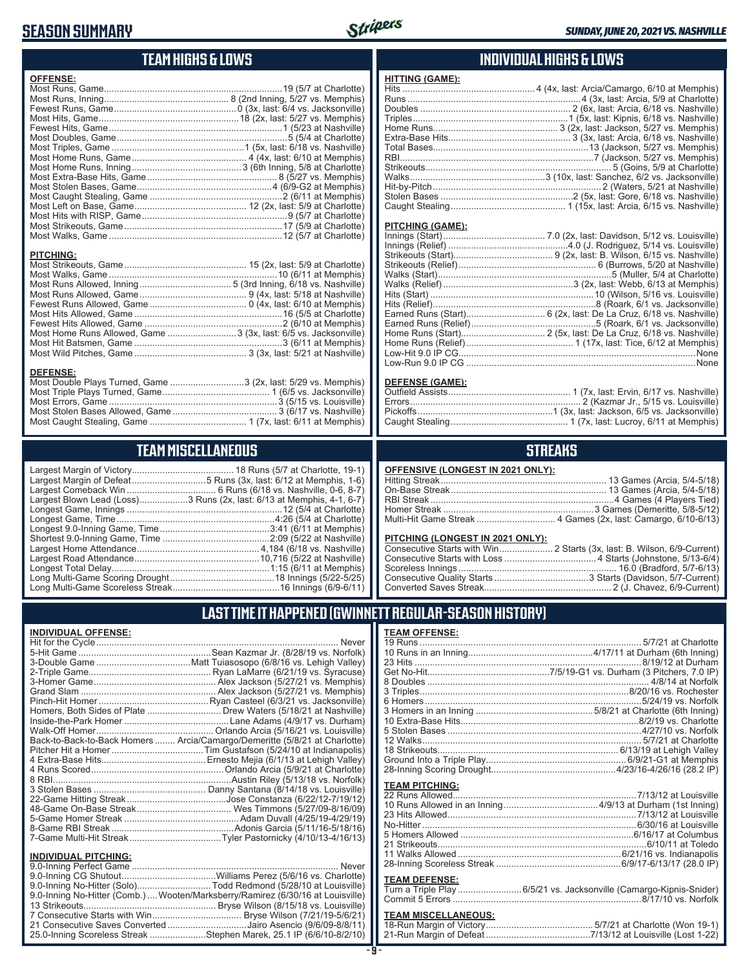# **SEASON SUMMARY**



# **TEAM HIGHS & LOWS**

| <b>OFFENSE:</b>                                                 |  |
|-----------------------------------------------------------------|--|
|                                                                 |  |
|                                                                 |  |
|                                                                 |  |
|                                                                 |  |
|                                                                 |  |
|                                                                 |  |
|                                                                 |  |
|                                                                 |  |
|                                                                 |  |
|                                                                 |  |
|                                                                 |  |
|                                                                 |  |
|                                                                 |  |
|                                                                 |  |
|                                                                 |  |
|                                                                 |  |
| <b>PITCHING:</b>                                                |  |
|                                                                 |  |
|                                                                 |  |
|                                                                 |  |
|                                                                 |  |
|                                                                 |  |
|                                                                 |  |
|                                                                 |  |
| Most Home Runs Allowed, Game 3 (3x, last: 6/5 vs. Jacksonville) |  |
|                                                                 |  |
|                                                                 |  |
|                                                                 |  |

#### **DEFENSE:**

| Most Double Plays Turned, Game 3 (2x, last: 5/29 vs. Memphis) |  |
|---------------------------------------------------------------|--|
|                                                               |  |
|                                                               |  |
|                                                               |  |
|                                                               |  |
|                                                               |  |

# **TEAM MISCELLANEOUS**

| Largest Margin of Defeat5 Runs (3x, last: 6/12 at Memphis, 1-6)       |
|-----------------------------------------------------------------------|
|                                                                       |
| Largest Blown Lead (Loss)3 Runs (2x, last: 6/13 at Memphis, 4-1, 6-7) |
|                                                                       |
| Longest Game, Time……………………………………………………4:26 (5/4 at Charlotte)         |
|                                                                       |
|                                                                       |
|                                                                       |
|                                                                       |
|                                                                       |
|                                                                       |
|                                                                       |
|                                                                       |

# **INDIVIDUAL HIGHS & LOWS**

| <b>HITTING (GAME):</b>  |  |
|-------------------------|--|
|                         |  |
|                         |  |
|                         |  |
|                         |  |
|                         |  |
|                         |  |
|                         |  |
|                         |  |
|                         |  |
|                         |  |
|                         |  |
|                         |  |
|                         |  |
| <b>PITCHING (GAME):</b> |  |
|                         |  |
|                         |  |
|                         |  |

#### **DEFENSE (GAME):**

# **STREAKS**

#### **PITCHING (LONGEST IN 2021 ONLY):**

| <u>THE STRIP (ESTIMATE) HT EVER SITE I A</u> |  |
|----------------------------------------------|--|
|                                              |  |
|                                              |  |
|                                              |  |
|                                              |  |
|                                              |  |
|                                              |  |

# **LAST TIME IT HAPPENED (GWINNETT REGULAR-SEASON HISTORY)**

#### **INDIVIDUAL OFFENSE:**

| <b>INDIVIDUAL OFFENSE:</b>  |                                                                            | <b>TEAM OFFENSE:</b>  |
|-----------------------------|----------------------------------------------------------------------------|-----------------------|
|                             |                                                                            | 19 Runs               |
|                             |                                                                            | 10 Runs in an Innir   |
|                             |                                                                            | 23 Hits               |
|                             |                                                                            | Get No-Hit            |
|                             |                                                                            | 8 Doubles             |
|                             |                                                                            | 3 Triples             |
|                             |                                                                            | 6 Homers              |
|                             | Homers, Both Sides of Plate Drew Waters (5/18/21 at Nashville)             | 3 Homers in an Inn    |
|                             |                                                                            | 10 Extra-Base Hits    |
|                             |                                                                            | 5 Stolen Bases        |
|                             | Back-to-Back-to-Back Homers  Arcia/Camargo/Demeritte (5/8/21 at Charlotte) | 12 Walks              |
|                             |                                                                            | 18 Strikeouts         |
|                             |                                                                            | Ground Into a Tripl   |
|                             |                                                                            | 28-Inning Scoring I   |
|                             |                                                                            | <b>TEAM PITCHING:</b> |
|                             |                                                                            | 22 Runs Allowed       |
|                             |                                                                            | 10 Runs Allowed in    |
|                             |                                                                            | 23 Hits Allowed       |
|                             |                                                                            | No-Hitter             |
|                             |                                                                            | 5 Homers Allowed      |
|                             |                                                                            | 21 Strikeouts         |
|                             |                                                                            | 11 Walks Allowed.     |
| <b>INDIVIDUAL PITCHING:</b> |                                                                            | 28-Inning Scoreles    |
|                             |                                                                            |                       |

| 9.0-Inning No-Hitter (Solo)Todd Redmond (5/28/10 at Louisville)                |
|--------------------------------------------------------------------------------|
| 9.0-Inning No-Hitter (Comb.) Wooten/Marksberry/Ramirez (6/30/16 at Louisville) |
|                                                                                |
|                                                                                |
| 21 Consecutive Saves Converted Jairo Asencio (9/6/09-8/8/11)                   |
| 25.0-Inning Scoreless Streak Stephen Marek, 25.1 IP (6/6/10-8/2/10)            |
|                                                                                |

| <b>TEAM PITCHING:</b> |  |
|-----------------------|--|
|                       |  |
|                       |  |
|                       |  |
|                       |  |
|                       |  |
|                       |  |
|                       |  |
|                       |  |

#### **TEAM DEFENSE:**

| . |                                                                    |
|---|--------------------------------------------------------------------|
|   | Turn a Triple Play 6/5/21 vs. Jacksonville (Camargo-Kipnis-Snider) |
|   |                                                                    |

| <b>TEAM MISCELLANEOUS:</b> |  |
|----------------------------|--|
|                            |  |
|                            |  |